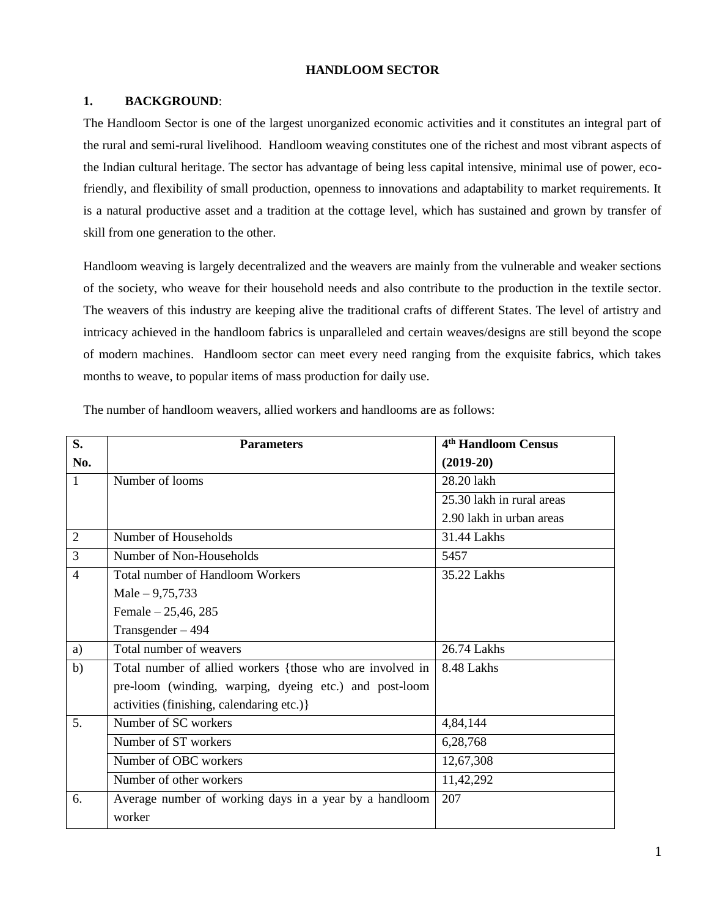## **HANDLOOM SECTOR**

## **1. BACKGROUND**:

The Handloom Sector is one of the largest unorganized economic activities and it constitutes an integral part of the rural and semi-rural livelihood. Handloom weaving constitutes one of the richest and most vibrant aspects of the Indian cultural heritage. The sector has advantage of being less capital intensive, minimal use of power, ecofriendly, and flexibility of small production, openness to innovations and adaptability to market requirements. It is a natural productive asset and a tradition at the cottage level, which has sustained and grown by transfer of skill from one generation to the other.

Handloom weaving is largely decentralized and the weavers are mainly from the vulnerable and weaker sections of the society, who weave for their household needs and also contribute to the production in the textile sector. The weavers of this industry are keeping alive the traditional crafts of different States. The level of artistry and intricacy achieved in the handloom fabrics is unparalleled and certain weaves/designs are still beyond the scope of modern machines. Handloom sector can meet every need ranging from the exquisite fabrics, which takes months to weave, to popular items of mass production for daily use.

| S.             | <b>Parameters</b>                                         | 4 <sup>th</sup> Handloom Census |
|----------------|-----------------------------------------------------------|---------------------------------|
| No.            |                                                           | $(2019-20)$                     |
| $\mathbf{1}$   | Number of looms                                           | 28.20 lakh                      |
|                |                                                           | 25.30 lakh in rural areas       |
|                |                                                           | 2.90 lakh in urban areas        |
| $\overline{2}$ | Number of Households                                      | 31.44 Lakhs                     |
| $\overline{3}$ | Number of Non-Households                                  | 5457                            |
| $\overline{4}$ | <b>Total number of Handloom Workers</b>                   | 35.22 Lakhs                     |
|                | Male $-9,75,733$                                          |                                 |
|                | Female - 25,46, 285                                       |                                 |
|                | Transgender $-494$                                        |                                 |
| a)             | Total number of weavers                                   | 26.74 Lakhs                     |
| b)             | Total number of allied workers {those who are involved in | 8.48 Lakhs                      |
|                | pre-loom (winding, warping, dyeing etc.) and post-loom    |                                 |
|                | activities (finishing, calendaring etc.)}                 |                                 |
| 5.             | Number of SC workers                                      | 4,84,144                        |
|                | Number of ST workers                                      | 6,28,768                        |
|                | Number of OBC workers                                     | 12,67,308                       |
|                | Number of other workers                                   | 11,42,292                       |
| 6.             | Average number of working days in a year by a handloom    | 207                             |
|                | worker                                                    |                                 |

The number of handloom weavers, allied workers and handlooms are as follows: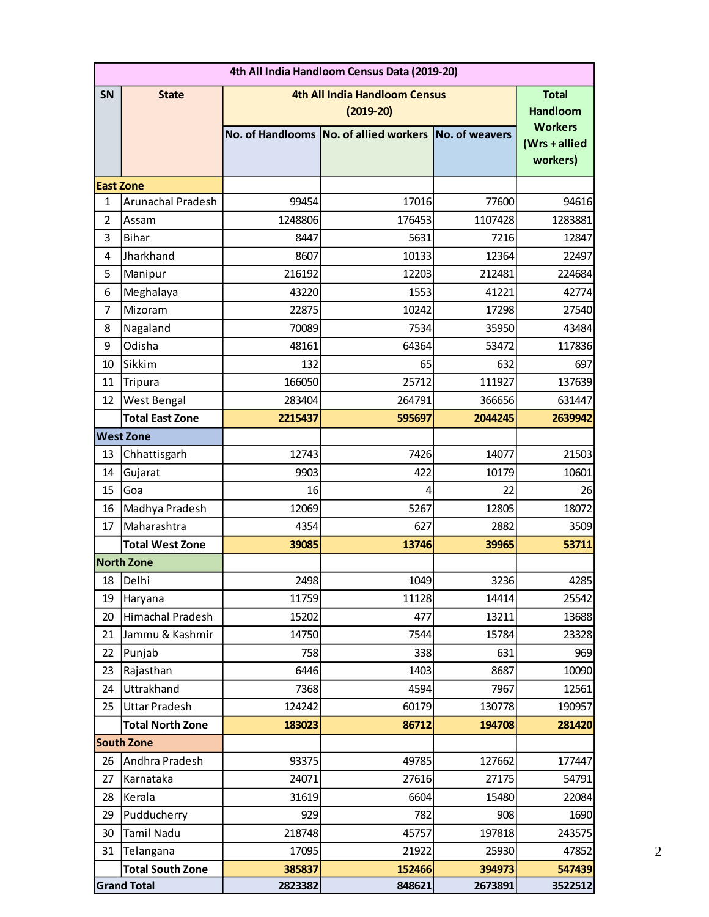|                | 4th All India Handloom Census Data (2019-20) |         |                                                       |         |                                             |  |  |  |  |  |
|----------------|----------------------------------------------|---------|-------------------------------------------------------|---------|---------------------------------------------|--|--|--|--|--|
| SN             | <b>State</b>                                 |         | 4th All India Handloom Census<br>$(2019-20)$          |         | <b>Total</b><br><b>Handloom</b>             |  |  |  |  |  |
|                |                                              |         | No. of Handlooms No. of allied workers No. of weavers |         | <b>Workers</b><br>(Wrs + allied<br>workers) |  |  |  |  |  |
|                | <b>East Zone</b>                             |         |                                                       |         |                                             |  |  |  |  |  |
| $\mathbf{1}$   | <b>Arunachal Pradesh</b>                     | 99454   | 17016                                                 | 77600   | 94616                                       |  |  |  |  |  |
| $\overline{2}$ | Assam                                        | 1248806 | 176453                                                | 1107428 | 1283881                                     |  |  |  |  |  |
| 3              | <b>Bihar</b>                                 | 8447    | 5631                                                  | 7216    | 12847                                       |  |  |  |  |  |
| 4              | Jharkhand                                    | 8607    | 10133                                                 | 12364   | 22497                                       |  |  |  |  |  |
| 5              | Manipur                                      | 216192  | 12203                                                 | 212481  | 224684                                      |  |  |  |  |  |
| 6              | Meghalaya                                    | 43220   | 1553                                                  | 41221   | 42774                                       |  |  |  |  |  |
| $\overline{7}$ | Mizoram                                      | 22875   | 10242                                                 | 17298   | 27540                                       |  |  |  |  |  |
| 8              | Nagaland                                     | 70089   | 7534                                                  | 35950   | 43484                                       |  |  |  |  |  |
| 9              | Odisha                                       | 48161   | 64364                                                 | 53472   | 117836                                      |  |  |  |  |  |
| 10             | Sikkim                                       | 132     | 65                                                    | 632     | 697                                         |  |  |  |  |  |
| 11             | Tripura                                      | 166050  | 25712                                                 | 111927  | 137639                                      |  |  |  |  |  |
| 12             | West Bengal                                  | 283404  | 264791                                                | 366656  | 631447                                      |  |  |  |  |  |
|                | <b>Total East Zone</b>                       | 2215437 | 595697                                                | 2044245 | 2639942                                     |  |  |  |  |  |
|                | <b>West Zone</b>                             |         |                                                       |         |                                             |  |  |  |  |  |
| 13             | Chhattisgarh                                 | 12743   | 7426                                                  | 14077   | 21503                                       |  |  |  |  |  |
| 14             | Gujarat                                      | 9903    | 422                                                   | 10179   | 10601                                       |  |  |  |  |  |
| 15             | Goa                                          | 16      | 4                                                     | 22      | 26                                          |  |  |  |  |  |
| 16             | Madhya Pradesh                               | 12069   | 5267                                                  | 12805   | 18072                                       |  |  |  |  |  |
| 17             | Maharashtra                                  | 4354    | 627                                                   | 2882    | 3509                                        |  |  |  |  |  |
|                | <b>Total West Zone</b>                       | 39085   | 13746                                                 | 39965   | 53711                                       |  |  |  |  |  |
|                | <b>North Zone</b>                            |         |                                                       |         |                                             |  |  |  |  |  |
| 18             | Delhi                                        | 2498    | 1049                                                  | 3236    | 4285                                        |  |  |  |  |  |
| 19             | Haryana                                      | 11759   | 11128                                                 | 14414   | 25542                                       |  |  |  |  |  |
| 20             | Himachal Pradesh                             | 15202   | 477                                                   | 13211   | 13688                                       |  |  |  |  |  |
| 21             | Jammu & Kashmir                              | 14750   | 7544                                                  | 15784   | 23328                                       |  |  |  |  |  |
| 22             | Punjab                                       | 758     | 338                                                   | 631     | 969                                         |  |  |  |  |  |
| 23             | Rajasthan                                    | 6446    | 1403                                                  | 8687    | 10090                                       |  |  |  |  |  |
| 24             | Uttrakhand                                   | 7368    | 4594                                                  | 7967    | 12561                                       |  |  |  |  |  |
| 25             | <b>Uttar Pradesh</b>                         | 124242  | 60179                                                 | 130778  | 190957                                      |  |  |  |  |  |
|                | <b>Total North Zone</b>                      | 183023  | 86712                                                 | 194708  | 281420                                      |  |  |  |  |  |
|                | <b>South Zone</b>                            |         |                                                       |         |                                             |  |  |  |  |  |
| 26             | Andhra Pradesh                               | 93375   | 49785                                                 | 127662  | 177447                                      |  |  |  |  |  |
| 27             | Karnataka                                    | 24071   | 27616                                                 | 27175   | 54791                                       |  |  |  |  |  |
| 28             | Kerala                                       | 31619   | 6604                                                  | 15480   | 22084                                       |  |  |  |  |  |
| 29             | Pudducherry                                  | 929     | 782                                                   | 908     | 1690                                        |  |  |  |  |  |
| 30             | <b>Tamil Nadu</b>                            | 218748  | 45757                                                 | 197818  | 243575                                      |  |  |  |  |  |
| 31             | Telangana                                    | 17095   | 21922                                                 | 25930   | 47852                                       |  |  |  |  |  |
|                | <b>Total South Zone</b>                      | 385837  | 152466                                                | 394973  | 547439                                      |  |  |  |  |  |
|                | <b>Grand Total</b>                           | 2823382 | 848621                                                | 2673891 | 3522512                                     |  |  |  |  |  |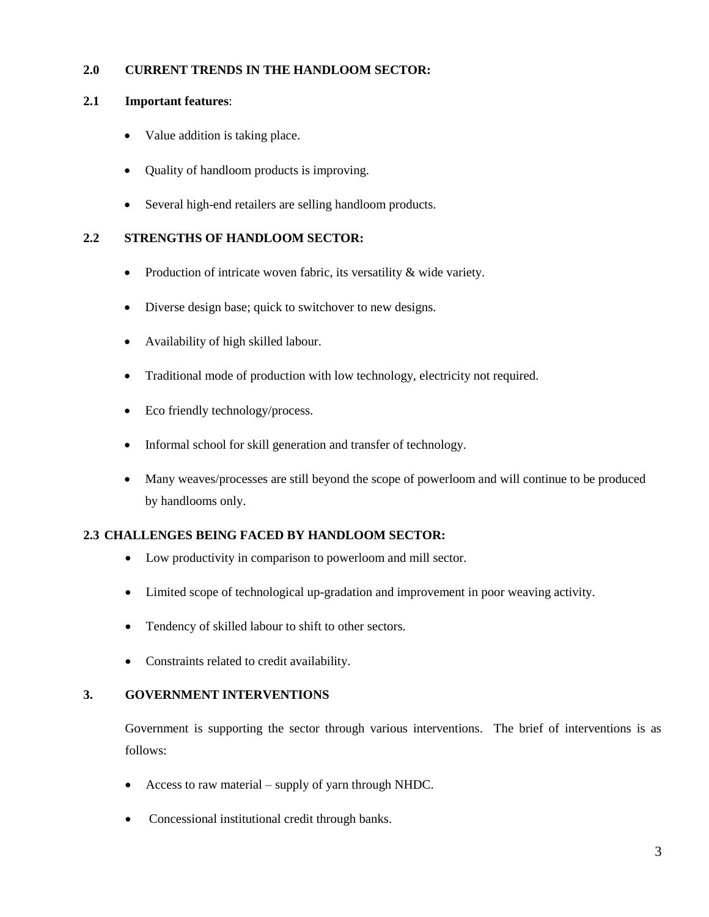# **2.0 CURRENT TRENDS IN THE HANDLOOM SECTOR:**

## **2.1 Important features**:

- Value addition is taking place.
- Quality of handloom products is improving.
- Several high-end retailers are selling handloom products.

# **2.2 STRENGTHS OF HANDLOOM SECTOR:**

- Production of intricate woven fabric, its versatility & wide variety.
- Diverse design base; quick to switchover to new designs.
- Availability of high skilled labour.
- Traditional mode of production with low technology, electricity not required.
- Eco friendly technology/process.
- Informal school for skill generation and transfer of technology.
- Many weaves/processes are still beyond the scope of powerloom and will continue to be produced by handlooms only.

# **2.3 CHALLENGES BEING FACED BY HANDLOOM SECTOR:**

- Low productivity in comparison to powerloom and mill sector.
- Limited scope of technological up-gradation and improvement in poor weaving activity.
- Tendency of skilled labour to shift to other sectors.
- Constraints related to credit availability.

# **3. GOVERNMENT INTERVENTIONS**

Government is supporting the sector through various interventions. The brief of interventions is as follows:

- Access to raw material supply of yarn through NHDC.
- Concessional institutional credit through banks.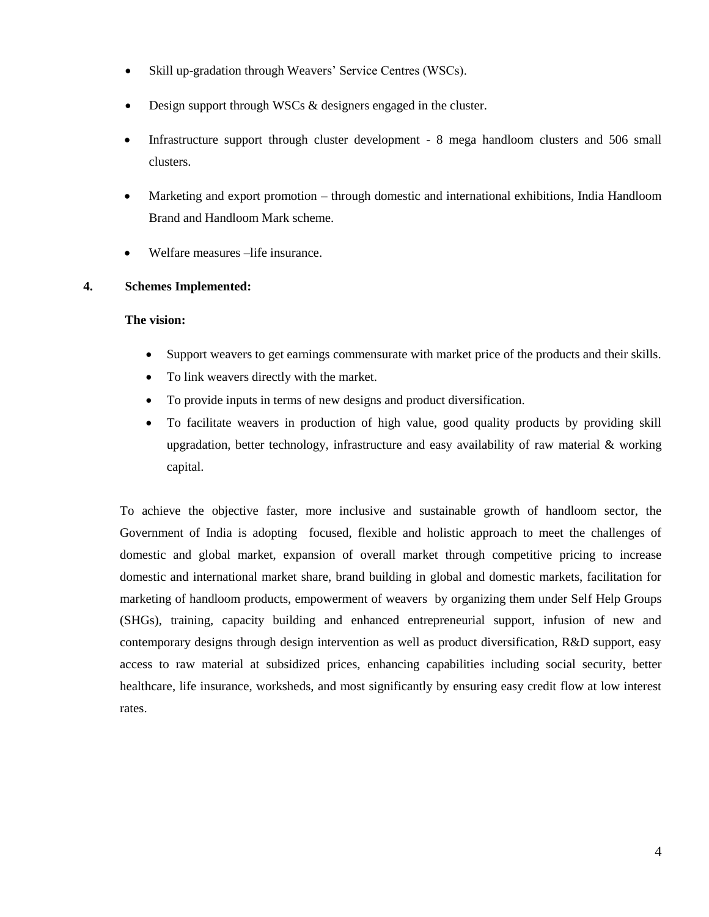- Skill up-gradation through Weavers' Service Centres (WSCs).
- Design support through WSCs & designers engaged in the cluster.
- Infrastructure support through cluster development 8 mega handloom clusters and 506 small clusters.
- Marketing and export promotion through domestic and international exhibitions, India Handloom Brand and Handloom Mark scheme.
- Welfare measures –life insurance.

## **4. Schemes Implemented:**

#### **The vision:**

- Support weavers to get earnings commensurate with market price of the products and their skills.
- To link weavers directly with the market.
- To provide inputs in terms of new designs and product diversification.
- To facilitate weavers in production of high value, good quality products by providing skill upgradation, better technology, infrastructure and easy availability of raw material  $\&$  working capital.

To achieve the objective faster, more inclusive and sustainable growth of handloom sector, the Government of India is adopting focused, flexible and holistic approach to meet the challenges of domestic and global market, expansion of overall market through competitive pricing to increase domestic and international market share, brand building in global and domestic markets, facilitation for marketing of handloom products, empowerment of weavers by organizing them under Self Help Groups (SHGs), training, capacity building and enhanced entrepreneurial support, infusion of new and contemporary designs through design intervention as well as product diversification, R&D support, easy access to raw material at subsidized prices, enhancing capabilities including social security, better healthcare, life insurance, worksheds, and most significantly by ensuring easy credit flow at low interest rates.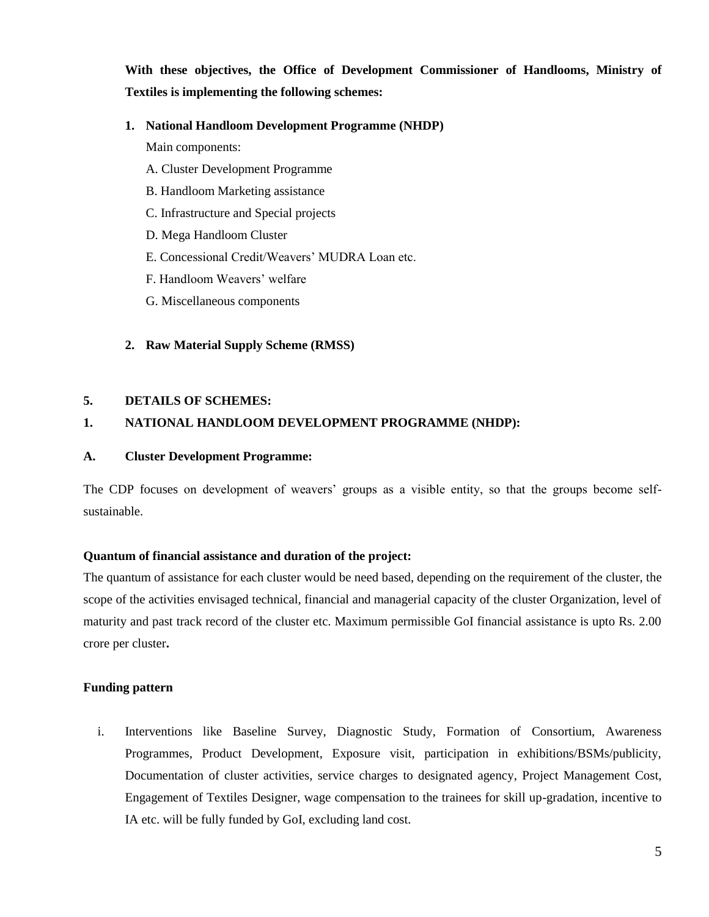**With these objectives, the Office of Development Commissioner of Handlooms, Ministry of Textiles is implementing the following schemes:**

## **1. National Handloom Development Programme (NHDP)**

Main components:

- A. Cluster Development Programme
- B. Handloom Marketing assistance
- C. Infrastructure and Special projects
- D. Mega Handloom Cluster
- E. Concessional Credit/Weavers' MUDRA Loan etc.
- F. Handloom Weavers' welfare
- G. Miscellaneous components

# **2. Raw Material Supply Scheme (RMSS)**

## **5. DETAILS OF SCHEMES:**

# **1. NATIONAL HANDLOOM DEVELOPMENT PROGRAMME (NHDP):**

## **A. Cluster Development Programme:**

The CDP focuses on development of weavers' groups as a visible entity, so that the groups become selfsustainable.

## **Quantum of financial assistance and duration of the project:**

The quantum of assistance for each cluster would be need based, depending on the requirement of the cluster, the scope of the activities envisaged technical, financial and managerial capacity of the cluster Organization, level of maturity and past track record of the cluster etc. Maximum permissible GoI financial assistance is upto Rs. 2.00 crore per cluster**.**

# **Funding pattern**

i. Interventions like Baseline Survey, Diagnostic Study, Formation of Consortium, Awareness Programmes, Product Development, Exposure visit, participation in exhibitions/BSMs/publicity, Documentation of cluster activities, service charges to designated agency, Project Management Cost, Engagement of Textiles Designer, wage compensation to the trainees for skill up-gradation, incentive to IA etc. will be fully funded by GoI, excluding land cost.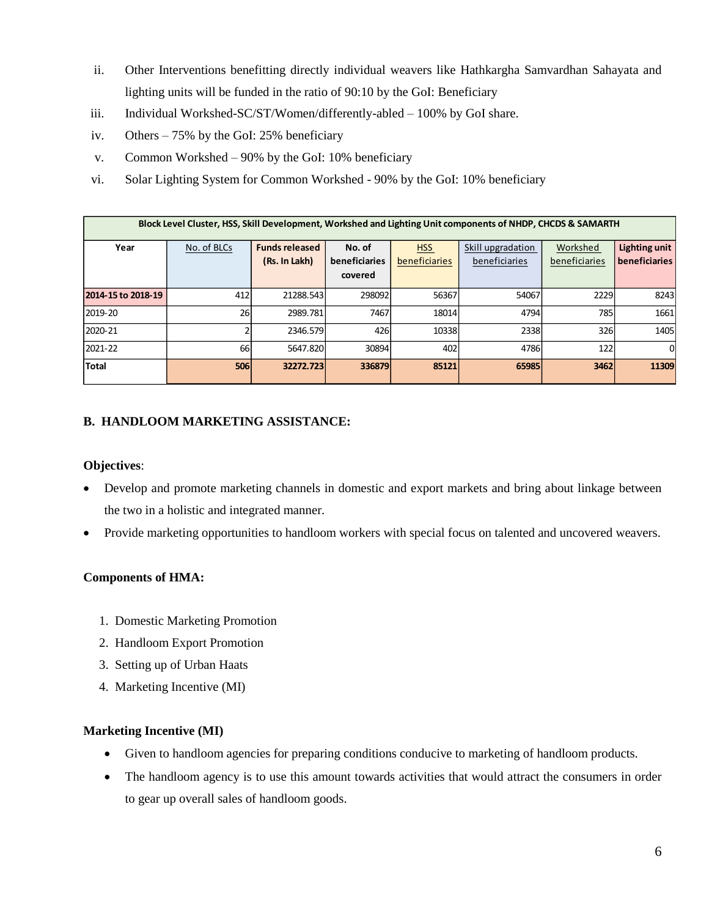- ii. Other Interventions benefitting directly individual weavers like Hathkargha Samvardhan Sahayata and lighting units will be funded in the ratio of 90:10 by the GoI: Beneficiary
- iii. Individual Workshed-SC/ST/Women/differently-abled 100% by GoI share.
- iv. Others 75% by the GoI: 25% beneficiary
- v. Common Workshed 90% by the GoI: 10% beneficiary
- vi. Solar Lighting System for Common Workshed 90% by the GoI: 10% beneficiary

| Block Level Cluster, HSS, Skill Development, Workshed and Lighting Unit components of NHDP, CHCDS & SAMARTH |             |                                        |                                    |                             |                                    |                           |                                       |  |  |  |  |  |  |
|-------------------------------------------------------------------------------------------------------------|-------------|----------------------------------------|------------------------------------|-----------------------------|------------------------------------|---------------------------|---------------------------------------|--|--|--|--|--|--|
| Year                                                                                                        | No. of BLCs | <b>Funds released</b><br>(Rs. In Lakh) | No. of<br>beneficiaries<br>covered | <b>HSS</b><br>beneficiaries | Skill upgradation<br>beneficiaries | Workshed<br>beneficiaries | Lighting unit<br><b>beneficiaries</b> |  |  |  |  |  |  |
| 2014-15 to 2018-19                                                                                          | 412         | 21288.543                              | 298092                             | 56367                       | 54067                              | 2229                      | 8243                                  |  |  |  |  |  |  |
| 2019-20                                                                                                     | 26          | 2989.781                               | 7467                               | 18014                       | 4794                               | 785                       | 1661                                  |  |  |  |  |  |  |
| 2020-21                                                                                                     |             | 2346.579                               | 426                                | 10338                       | 2338                               | 326                       | 1405                                  |  |  |  |  |  |  |
| 2021-22                                                                                                     | 66          | 5647.820                               | 30894                              | 402                         | 4786                               | 122                       | $\Omega$                              |  |  |  |  |  |  |
| <b>Total</b>                                                                                                | 506         | 32272.723                              | 336879                             | 85121                       | 65985                              | 3462                      | 11309                                 |  |  |  |  |  |  |

## **B. HANDLOOM MARKETING ASSISTANCE:**

#### **Objectives**:

- Develop and promote marketing channels in domestic and export markets and bring about linkage between the two in a holistic and integrated manner.
- Provide marketing opportunities to handloom workers with special focus on talented and uncovered weavers.

## **Components of HMA:**

- 1. Domestic Marketing Promotion
- 2. Handloom Export Promotion
- 3. Setting up of Urban Haats
- 4. Marketing Incentive (MI)

## **Marketing Incentive (MI)**

- Given to handloom agencies for preparing conditions conducive to marketing of handloom products.
- The handloom agency is to use this amount towards activities that would attract the consumers in order to gear up overall sales of handloom goods.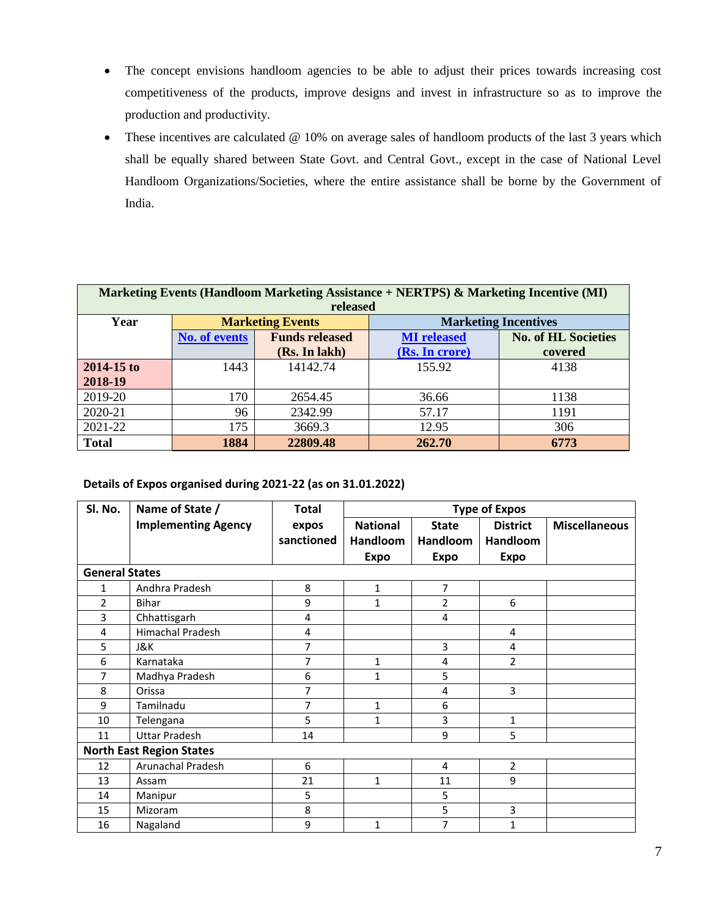- The concept envisions handloom agencies to be able to adjust their prices towards increasing cost competitiveness of the products, improve designs and invest in infrastructure so as to improve the production and productivity.
- These incentives are calculated @ 10% on average sales of handloom products of the last 3 years which shall be equally shared between State Govt. and Central Govt., except in the case of National Level Handloom Organizations/Societies, where the entire assistance shall be borne by the Government of India.

|              | Marketing Events (Handloom Marketing Assistance + NERTPS) & Marketing Incentive (MI) |                         |                             |                            |  |  |  |  |  |  |  |  |
|--------------|--------------------------------------------------------------------------------------|-------------------------|-----------------------------|----------------------------|--|--|--|--|--|--|--|--|
| released     |                                                                                      |                         |                             |                            |  |  |  |  |  |  |  |  |
| Year         |                                                                                      | <b>Marketing Events</b> | <b>Marketing Incentives</b> |                            |  |  |  |  |  |  |  |  |
|              | <b>No. of events</b>                                                                 | <b>Funds released</b>   | <b>MI</b> released          | <b>No. of HL Societies</b> |  |  |  |  |  |  |  |  |
|              |                                                                                      | (Rs. In lakh)           | (Rs. In crore)              | covered                    |  |  |  |  |  |  |  |  |
| 2014-15 to   | 1443                                                                                 | 14142.74                | 155.92                      | 4138                       |  |  |  |  |  |  |  |  |
| 2018-19      |                                                                                      |                         |                             |                            |  |  |  |  |  |  |  |  |
| 2019-20      | 170                                                                                  | 2654.45                 | 36.66                       | 1138                       |  |  |  |  |  |  |  |  |
| 2020-21      | 96                                                                                   | 2342.99                 | 57.17                       | 1191                       |  |  |  |  |  |  |  |  |
| 2021-22      | 175                                                                                  | 3669.3                  | 12.95                       | 306                        |  |  |  |  |  |  |  |  |
| <b>Total</b> | 1884                                                                                 | 22809.48                | 262.70                      | 6773                       |  |  |  |  |  |  |  |  |

**Details of Expos organised during 2021-22 (as on 31.01.2022)**

| Sl. No.               | Name of State /                 | <b>Total</b>   | <b>Type of Expos</b> |                 |                 |                      |  |
|-----------------------|---------------------------------|----------------|----------------------|-----------------|-----------------|----------------------|--|
|                       | <b>Implementing Agency</b>      | expos          | <b>National</b>      | <b>State</b>    | <b>District</b> | <b>Miscellaneous</b> |  |
|                       |                                 | sanctioned     | <b>Handloom</b>      | <b>Handloom</b> | Handloom        |                      |  |
|                       |                                 |                | <b>Expo</b>          | <b>Expo</b>     | <b>Expo</b>     |                      |  |
| <b>General States</b> |                                 |                |                      |                 |                 |                      |  |
| 1                     | Andhra Pradesh                  | 8              | $\mathbf 1$          | 7               |                 |                      |  |
| 2                     | <b>Bihar</b>                    | 9              | $\mathbf{1}$         | $\overline{2}$  | 6               |                      |  |
| 3                     | Chhattisgarh                    | 4              |                      | 4               |                 |                      |  |
| 4                     | <b>Himachal Pradesh</b>         | 4              |                      |                 | 4               |                      |  |
| 5                     | J&K                             | 7              |                      | 3               | 4               |                      |  |
| 6                     | Karnataka                       | $\overline{7}$ | $\mathbf{1}$         | 4               | $\overline{2}$  |                      |  |
| 7                     | Madhya Pradesh                  | 6              | 1                    | 5               |                 |                      |  |
| 8                     | Orissa                          | 7              |                      | 4               | 3               |                      |  |
| 9                     | Tamilnadu                       | 7              | 1                    | 6               |                 |                      |  |
| 10                    | Telengana                       | 5              | $\mathbf{1}$         | 3               | 1               |                      |  |
| 11                    | <b>Uttar Pradesh</b>            | 14             |                      | 9               | 5               |                      |  |
|                       | <b>North East Region States</b> |                |                      |                 |                 |                      |  |
| 12                    | Arunachal Pradesh               | 6              |                      | 4               | $\overline{2}$  |                      |  |
| 13                    | Assam                           | 21             | $\mathbf{1}$         | 11              | 9               |                      |  |
| 14                    | Manipur                         | 5              |                      | 5               |                 |                      |  |
| 15                    | Mizoram                         | 8              |                      | 5               | 3               |                      |  |
| 16                    | Nagaland                        | 9              | $\mathbf{1}$         | 7               | 1               |                      |  |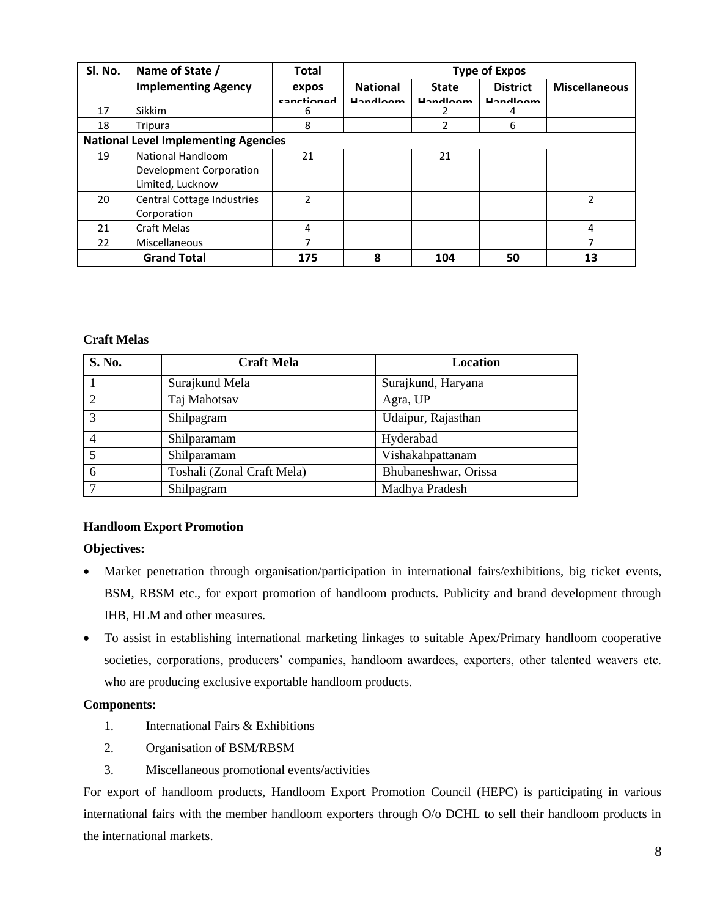| Sl. No.                                     | Name of State /            | <b>Total</b> | <b>Type of Expos</b> |                   |                   |                      |
|---------------------------------------------|----------------------------|--------------|----------------------|-------------------|-------------------|----------------------|
|                                             | <b>Implementing Agency</b> | expos        | <b>National</b>      | <b>State</b>      | <b>District</b>   | <b>Miscellaneous</b> |
|                                             |                            | canctionod   | <b>Unnellange</b>    | <b>Lianglaces</b> | <b>Unnellange</b> |                      |
| 17                                          | <b>Sikkim</b>              | 6            |                      |                   | 4                 |                      |
| 18                                          | Tripura                    | 8            |                      | າ                 | 6                 |                      |
| <b>National Level Implementing Agencies</b> |                            |              |                      |                   |                   |                      |
| 19                                          | National Handloom          | 21           |                      | 21                |                   |                      |
|                                             | Development Corporation    |              |                      |                   |                   |                      |
|                                             | Limited, Lucknow           |              |                      |                   |                   |                      |
| 20                                          | Central Cottage Industries | 2            |                      |                   |                   | $\mathfrak z$        |
|                                             | Corporation                |              |                      |                   |                   |                      |
| 21                                          | <b>Craft Melas</b>         | 4            |                      |                   |                   | 4                    |
| 22                                          | Miscellaneous              | 7            |                      |                   |                   |                      |
| <b>Grand Total</b>                          |                            | 175          | 8                    | 104               | 50                | 13                   |

## **Craft Melas**

| S. No.         | <b>Craft Mela</b>          | Location             |
|----------------|----------------------------|----------------------|
|                | Surajkund Mela             | Surajkund, Haryana   |
| $\mathcal{D}$  | Taj Mahotsav               | Agra, UP             |
| $\mathcal{R}$  | Shilpagram                 | Udaipur, Rajasthan   |
| $\overline{4}$ | Shilparamam                | Hyderabad            |
| 5              | Shilparamam                | Vishakahpattanam     |
| 6              | Toshali (Zonal Craft Mela) | Bhubaneshwar, Orissa |
| 7              | Shilpagram                 | Madhya Pradesh       |

# **Handloom Export Promotion**

# **Objectives:**

- Market penetration through organisation/participation in international fairs/exhibitions, big ticket events, BSM, RBSM etc., for export promotion of handloom products. Publicity and brand development through IHB, HLM and other measures.
- To assist in establishing international marketing linkages to suitable Apex/Primary handloom cooperative societies, corporations, producers' companies, handloom awardees, exporters, other talented weavers etc. who are producing exclusive exportable handloom products.

## **Components:**

- 1. International Fairs & Exhibitions
- 2. Organisation of BSM/RBSM
- 3. Miscellaneous promotional events/activities

For export of handloom products, Handloom Export Promotion Council (HEPC) is participating in various international fairs with the member handloom exporters through O/o DCHL to sell their handloom products in the international markets.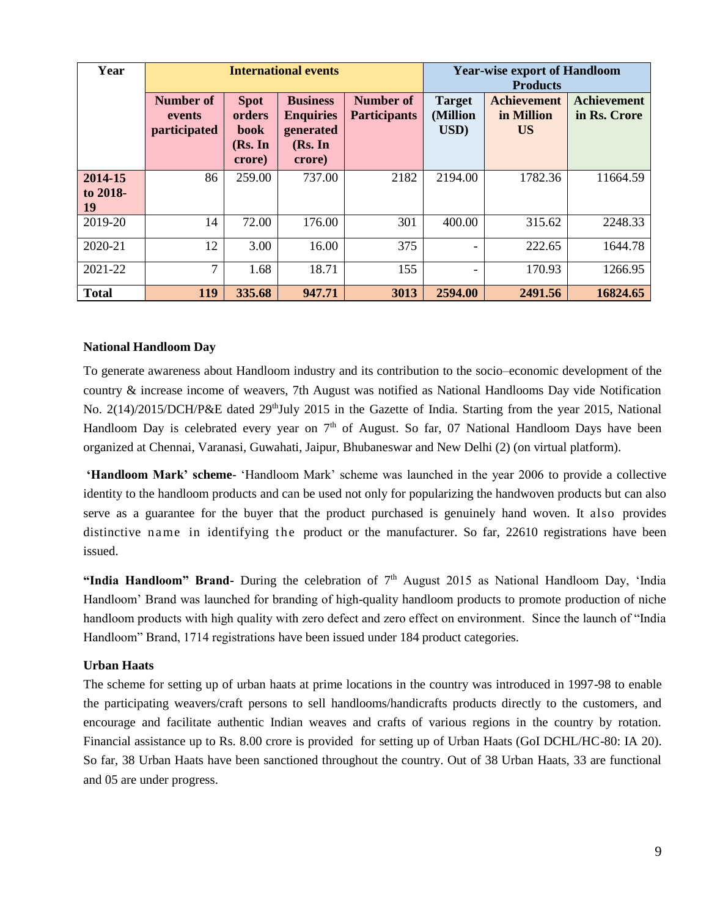| Year                      |                                            |                                                    | <b>International events</b>                                           | <b>Year-wise export of Handloom</b><br><b>Products</b> |                                   |                                               |                                    |
|---------------------------|--------------------------------------------|----------------------------------------------------|-----------------------------------------------------------------------|--------------------------------------------------------|-----------------------------------|-----------------------------------------------|------------------------------------|
|                           | <b>Number of</b><br>events<br>participated | <b>Spot</b><br>orders<br>book<br>(Rs. In<br>crore) | <b>Business</b><br><b>Enquiries</b><br>generated<br>(Rs. In<br>crore) | Number of<br><b>Participants</b>                       | <b>Target</b><br>(Million<br>USD) | <b>Achievement</b><br>in Million<br><b>US</b> | <b>Achievement</b><br>in Rs. Crore |
| 2014-15<br>to 2018-<br>19 | 86                                         | 259.00                                             | 737.00                                                                | 2182                                                   | 2194.00                           | 1782.36                                       | 11664.59                           |
| 2019-20                   | 14                                         | 72.00                                              | 176.00                                                                | 301                                                    | 400.00                            | 315.62                                        | 2248.33                            |
| 2020-21                   | 12                                         | 3.00                                               | 16.00                                                                 | 375                                                    |                                   | 222.65                                        | 1644.78                            |
| 2021-22                   | 7                                          | 1.68                                               | 18.71                                                                 | 155                                                    | -                                 | 170.93                                        | 1266.95                            |
| <b>Total</b>              | 119                                        | 335.68                                             | 947.71                                                                | 3013                                                   | 2594.00                           | 2491.56                                       | 16824.65                           |

#### **National Handloom Day**

To generate awareness about Handloom industry and its contribution to the socio–economic development of the country & increase income of weavers, 7th August was notified as National Handlooms Day vide Notification No. 2(14)/2015/DCH/P&E dated 29<sup>th</sup>July 2015 in the Gazette of India. Starting from the year 2015, National Handloom Day is celebrated every year on  $7<sup>th</sup>$  of August. So far, 07 National Handloom Days have been organized at Chennai, Varanasi, Guwahati, Jaipur, Bhubaneswar and New Delhi (2) (on virtual platform).

**'Handloom Mark' scheme**- 'Handloom Mark' scheme was launched in the year 2006 to provide a collective identity to the handloom products and can be used not only for popularizing the handwoven products but can also serve as a guarantee for the buyer that the product purchased is genuinely hand woven. It also provides distinctive name in identifying the product or the manufacturer. So far, 22610 registrations have been issued.

"India Handloom" Brand- During the celebration of 7<sup>th</sup> August 2015 as National Handloom Day, 'India Handloom' Brand was launched for branding of high-quality handloom products to promote production of niche handloom products with high quality with zero defect and zero effect on environment. Since the launch of "India Handloom" Brand, 1714 registrations have been issued under 184 product categories.

### **Urban Haats**

The scheme for setting up of urban haats at prime locations in the country was introduced in 1997-98 to enable the participating weavers/craft persons to sell handlooms/handicrafts products directly to the customers, and encourage and facilitate authentic Indian weaves and crafts of various regions in the country by rotation. Financial assistance up to Rs. 8.00 crore is provided for setting up of Urban Haats (GoI DCHL/HC-80: IA 20). So far, 38 Urban Haats have been sanctioned throughout the country. Out of 38 Urban Haats, 33 are functional and 05 are under progress.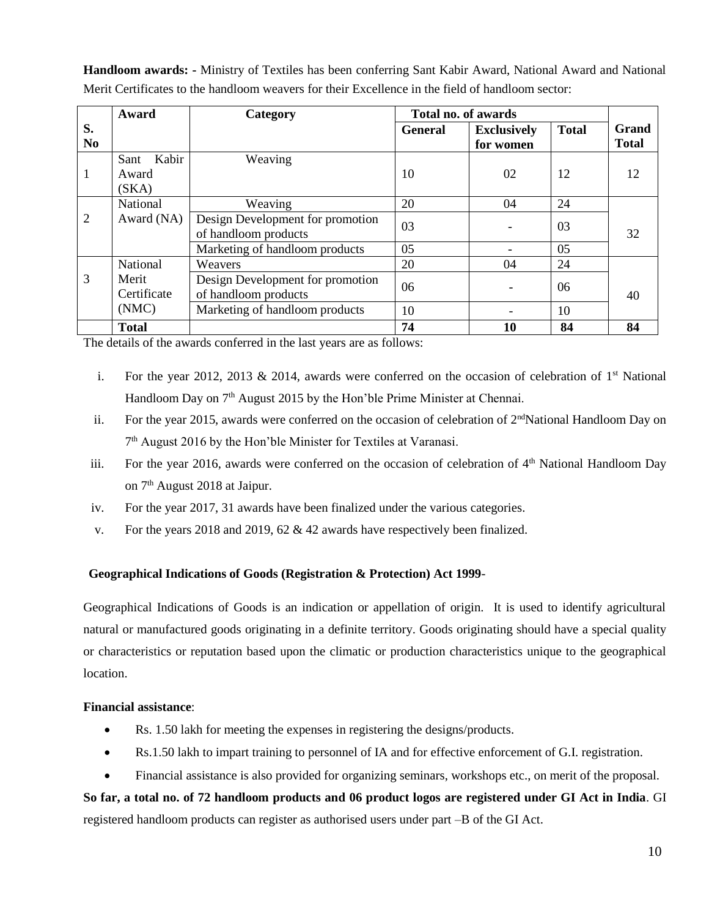**Handloom awards: -** Ministry of Textiles has been conferring Sant Kabir Award, National Award and National Merit Certificates to the handloom weavers for their Excellence in the field of handloom sector:

|                      | Award                           | Category                                                 |                | Total no. of awards             |              |                       |  |
|----------------------|---------------------------------|----------------------------------------------------------|----------------|---------------------------------|--------------|-----------------------|--|
| S.<br>N <sub>0</sub> |                                 |                                                          | <b>General</b> | <b>Exclusively</b><br>for women | <b>Total</b> | Grand<br><b>Total</b> |  |
| 1                    | Kabir<br>Sant<br>Award<br>(SKA) | Weaving                                                  | 10             | 02                              | 12           | 12                    |  |
|                      | National                        | Weaving                                                  | 20             | 04                              | 24           |                       |  |
| $\overline{2}$       | Award (NA)                      | Design Development for promotion<br>of handloom products | 03             |                                 | 03           | 32                    |  |
|                      |                                 | Marketing of handloom products                           | 05             |                                 | 05           |                       |  |
|                      | National                        | Weavers                                                  | 20             | 04                              | 24           |                       |  |
| 3                    | Merit<br>Certificate            | Design Development for promotion<br>of handloom products | 06             |                                 | 06           | 40                    |  |
|                      | (NMC)                           | Marketing of handloom products                           | 10             |                                 | 10           |                       |  |
|                      | <b>Total</b>                    |                                                          | 74             | 10                              | 84           | 84                    |  |

The details of the awards conferred in the last years are as follows:

- i. For the year 2012, 2013 & 2014, awards were conferred on the occasion of celebration of  $1<sup>st</sup>$  National Handloom Day on 7<sup>th</sup> August 2015 by the Hon'ble Prime Minister at Chennai.
- ii. For the year 2015, awards were conferred on the occasion of celebration of  $2<sup>nd</sup>National Handloom Day on$ 7<sup>th</sup> August 2016 by the Hon'ble Minister for Textiles at Varanasi.
- iii. For the year 2016, awards were conferred on the occasion of celebration of  $4<sup>th</sup>$  National Handloom Day on 7th August 2018 at Jaipur.
- iv. For the year 2017, 31 awards have been finalized under the various categories.
- v. For the years 2018 and 2019, 62 & 42 awards have respectively been finalized.

## **Geographical Indications of Goods (Registration & Protection) Act 1999**-

Geographical Indications of Goods is an indication or appellation of origin. It is used to identify agricultural natural or manufactured goods originating in a definite territory. Goods originating should have a special quality or characteristics or reputation based upon the climatic or production characteristics unique to the geographical location.

## **Financial assistance**:

- Rs. 1.50 lakh for meeting the expenses in registering the designs/products.
- Rs.1.50 lakh to impart training to personnel of IA and for effective enforcement of G.I. registration.
- Financial assistance is also provided for organizing seminars, workshops etc., on merit of the proposal.

**So far, a total no. of 72 handloom products and 06 product logos are registered under GI Act in India**. GI registered handloom products can register as authorised users under part –B of the GI Act.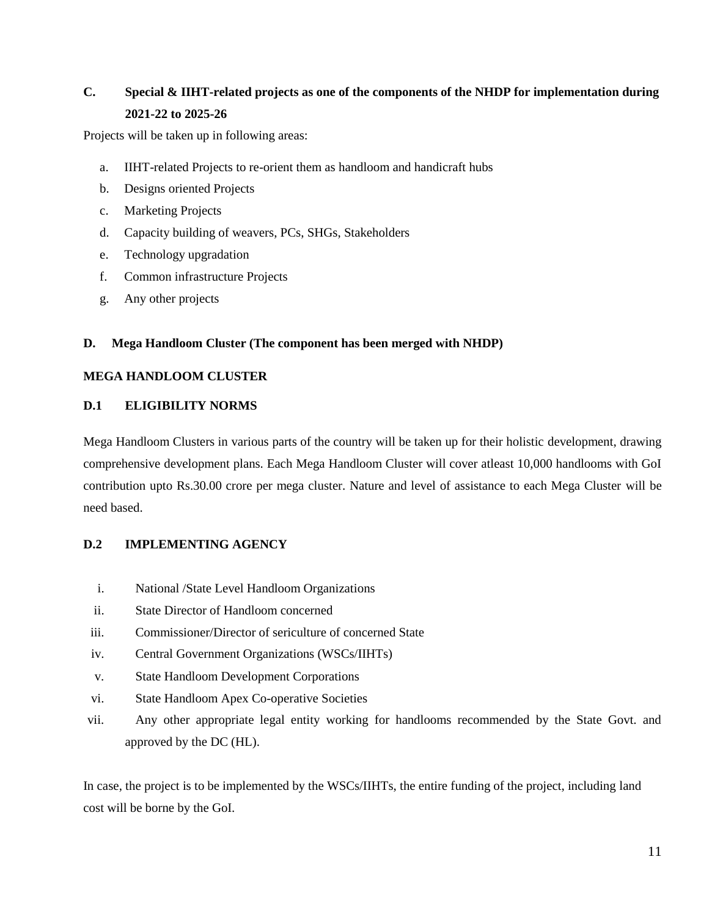# **C. Special & IIHT-related projects as one of the components of the NHDP for implementation during 2021-22 to 2025-26**

Projects will be taken up in following areas:

- a. IIHT-related Projects to re-orient them as handloom and handicraft hubs
- b. Designs oriented Projects
- c. Marketing Projects
- d. Capacity building of weavers, PCs, SHGs, Stakeholders
- e. Technology upgradation
- f. Common infrastructure Projects
- g. Any other projects

## **D. Mega Handloom Cluster (The component has been merged with NHDP)**

## **MEGA HANDLOOM CLUSTER**

## **D.1 ELIGIBILITY NORMS**

Mega Handloom Clusters in various parts of the country will be taken up for their holistic development, drawing comprehensive development plans. Each Mega Handloom Cluster will cover atleast 10,000 handlooms with GoI contribution upto Rs.30.00 crore per mega cluster. Nature and level of assistance to each Mega Cluster will be need based.

# **D.2 IMPLEMENTING AGENCY**

- i. National /State Level Handloom Organizations
- ii. State Director of Handloom concerned
- iii. Commissioner/Director of sericulture of concerned State
- iv. Central Government Organizations (WSCs/IIHTs)
- v. State Handloom Development Corporations
- vi. State Handloom Apex Co-operative Societies
- vii. Any other appropriate legal entity working for handlooms recommended by the State Govt. and approved by the DC (HL).

In case, the project is to be implemented by the WSCs/IIHTs, the entire funding of the project, including land cost will be borne by the GoI.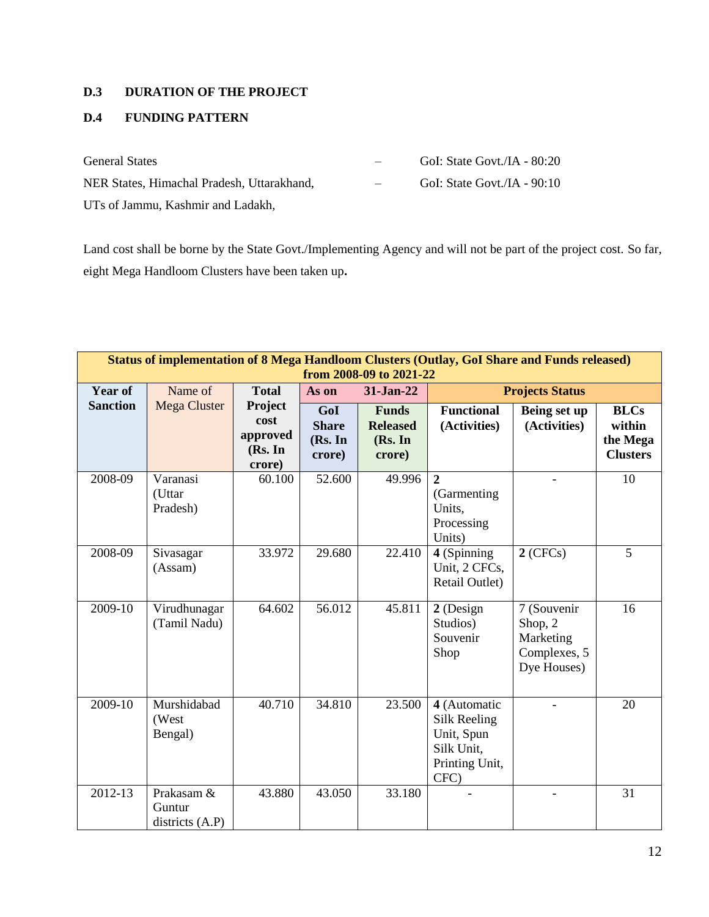# **D.3 DURATION OF THE PROJECT**

# **D.4 FUNDING PATTERN**

| <b>General States</b>                      |        | GoI: State Govt./IA - 80:20 |
|--------------------------------------------|--------|-----------------------------|
| NER States, Himachal Pradesh, Uttarakhand, | $\sim$ | GoI: State Govt./IA - 90:10 |
| UTs of Jammu, Kashmir and Ladakh,          |        |                             |

Land cost shall be borne by the State Govt./Implementing Agency and will not be part of the project cost. So far, eight Mega Handloom Clusters have been taken up**.**

| Status of implementation of 8 Mega Handloom Clusters (Outlay, GoI Share and Funds released)<br>from 2008-09 to 2021-22 |                                         |                                                  |                                          |                                                      |                                                                                    |                                                                    |                                                      |  |  |  |
|------------------------------------------------------------------------------------------------------------------------|-----------------------------------------|--------------------------------------------------|------------------------------------------|------------------------------------------------------|------------------------------------------------------------------------------------|--------------------------------------------------------------------|------------------------------------------------------|--|--|--|
| <b>Year of</b>                                                                                                         | Name of                                 | <b>Total</b>                                     | As on                                    | 31-Jan-22                                            |                                                                                    | <b>Projects Status</b>                                             |                                                      |  |  |  |
| <b>Sanction</b>                                                                                                        | Mega Cluster                            | Project<br>cost<br>approved<br>(Rs. In<br>crore) | GoI<br><b>Share</b><br>(Rs. In<br>crore) | <b>Funds</b><br><b>Released</b><br>(Rs. In<br>crore) | <b>Functional</b><br>(Activities)                                                  | Being set up<br>(Activities)                                       | <b>BLCs</b><br>within<br>the Mega<br><b>Clusters</b> |  |  |  |
| 2008-09                                                                                                                | Varanasi<br>(Uttar<br>Pradesh)          | 60.100                                           | 52.600                                   | 49.996                                               | $\overline{2}$<br>(Garmenting)<br>Units,<br>Processing<br>Units)                   |                                                                    | 10                                                   |  |  |  |
| 2008-09                                                                                                                | Sivasagar<br>(Assam)                    | 33.972                                           | 29.680                                   | 22.410                                               | 4 (Spinning<br>Unit, 2 CFCs,<br>Retail Outlet)                                     | $2$ (CFCs)                                                         | 5                                                    |  |  |  |
| 2009-10                                                                                                                | Virudhunagar<br>(Tamil Nadu)            | 64.602                                           | 56.012                                   | 45.811                                               | 2 (Design<br>Studios)<br>Souvenir<br>Shop                                          | 7 (Souvenir<br>Shop, 2<br>Marketing<br>Complexes, 5<br>Dye Houses) | 16                                                   |  |  |  |
| 2009-10                                                                                                                | Murshidabad<br>(West<br>Bengal)         | 40.710                                           | 34.810                                   | 23.500                                               | 4 (Automatic<br>Silk Reeling<br>Unit, Spun<br>Silk Unit,<br>Printing Unit,<br>CFC) |                                                                    | 20                                                   |  |  |  |
| 2012-13                                                                                                                | Prakasam &<br>Guntur<br>districts (A.P) | 43.880                                           | 43.050                                   | 33.180                                               |                                                                                    |                                                                    | 31                                                   |  |  |  |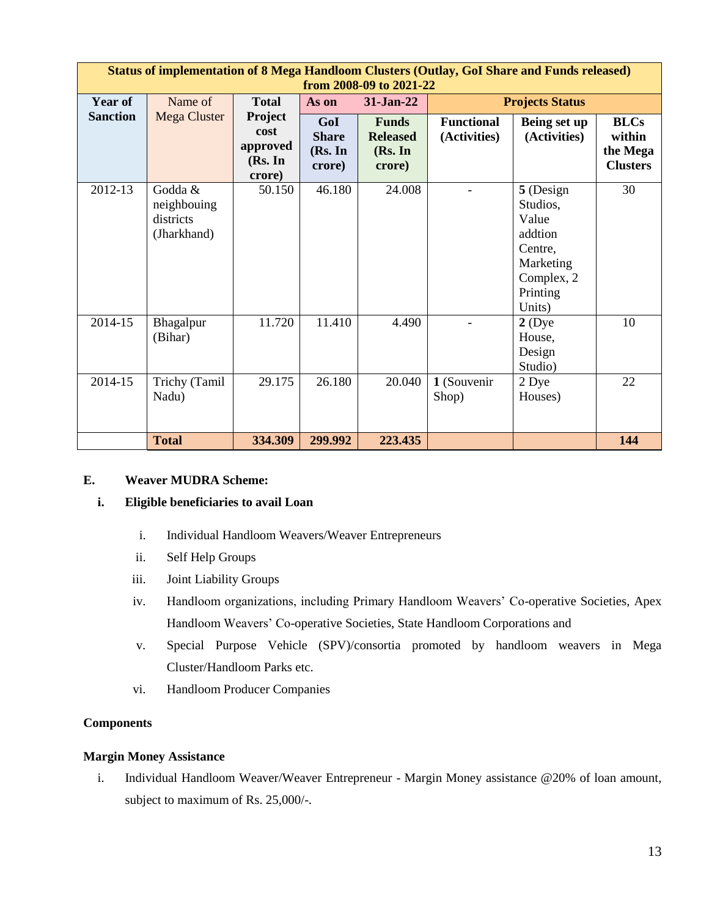|                 | Status of implementation of 8 Mega Handloom Clusters (Outlay, GoI Share and Funds released)<br>from 2008-09 to 2021-22 |                                                  |                                          |                                                      |                                   |                                                                                                       |                                                      |  |  |  |  |  |
|-----------------|------------------------------------------------------------------------------------------------------------------------|--------------------------------------------------|------------------------------------------|------------------------------------------------------|-----------------------------------|-------------------------------------------------------------------------------------------------------|------------------------------------------------------|--|--|--|--|--|
| <b>Year of</b>  | Name of                                                                                                                | <b>Total</b>                                     | 31-Jan-22<br>As on                       |                                                      |                                   | <b>Projects Status</b>                                                                                |                                                      |  |  |  |  |  |
| <b>Sanction</b> | Mega Cluster                                                                                                           | Project<br>cost<br>approved<br>(Rs. In<br>crore) | GoI<br><b>Share</b><br>(Rs. In<br>crore) | <b>Funds</b><br><b>Released</b><br>(Rs. In<br>crore) | <b>Functional</b><br>(Activities) | Being set up<br>(Activities)                                                                          | <b>BLCs</b><br>within<br>the Mega<br><b>Clusters</b> |  |  |  |  |  |
| 2012-13         | Godda &<br>neighbouing<br>districts<br>(Jharkhand)                                                                     | 50.150                                           | 46.180                                   | 24.008                                               |                                   | 5 (Design<br>Studios.<br>Value<br>addtion<br>Centre,<br>Marketing<br>Complex, 2<br>Printing<br>Units) | 30                                                   |  |  |  |  |  |
| 2014-15         | Bhagalpur<br>(Bihar)                                                                                                   | 11.720                                           | 11.410                                   | 4.490                                                |                                   | $2$ (Dye<br>House,<br>Design<br>Studio)                                                               | 10                                                   |  |  |  |  |  |
| 2014-15         | Trichy (Tamil<br>Nadu)                                                                                                 | 29.175                                           | 26.180                                   | 20.040                                               | 1 (Souvenir<br>Shop)              | 2 Dye<br>Houses)                                                                                      | 22                                                   |  |  |  |  |  |
|                 | <b>Total</b>                                                                                                           | 334.309                                          | 299.992                                  | 223.435                                              |                                   |                                                                                                       | 144                                                  |  |  |  |  |  |

## **E. Weaver MUDRA Scheme:**

## **i. Eligible beneficiaries to avail Loan**

- i. Individual Handloom Weavers/Weaver Entrepreneurs
- ii. Self Help Groups
- iii. Joint Liability Groups
- iv. Handloom organizations, including Primary Handloom Weavers' Co-operative Societies, Apex Handloom Weavers' Co-operative Societies, State Handloom Corporations and
- v. Special Purpose Vehicle (SPV)/consortia promoted by handloom weavers in Mega Cluster/Handloom Parks etc.
- vi. Handloom Producer Companies

## **Components**

## **Margin Money Assistance**

i. Individual Handloom Weaver/Weaver Entrepreneur - Margin Money assistance @20% of loan amount, subject to maximum of Rs. 25,000/-.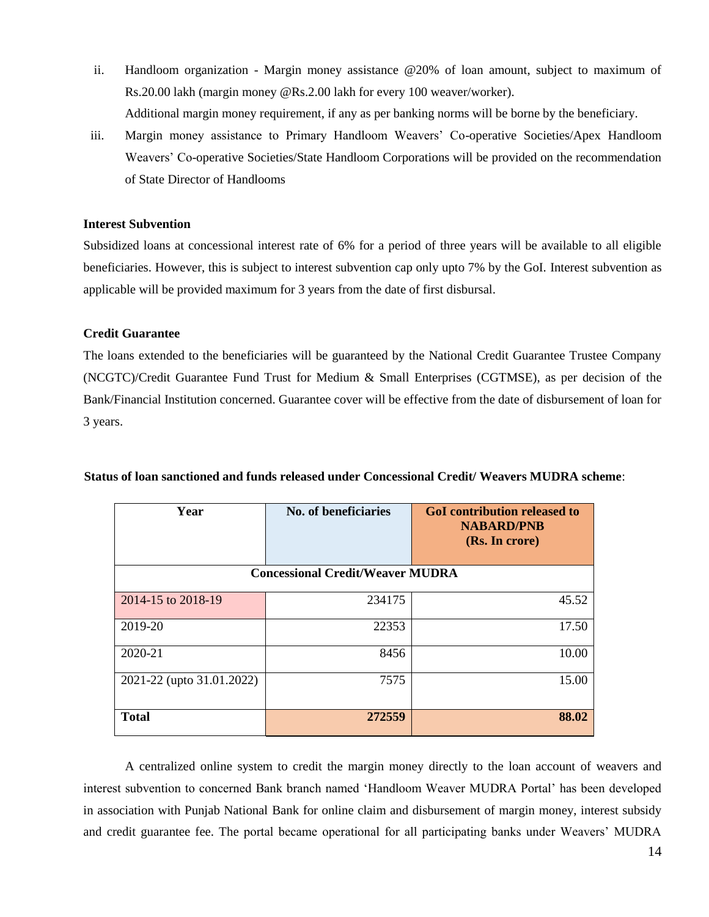- ii. Handloom organization Margin money assistance @20% of loan amount, subject to maximum of Rs.20.00 lakh (margin money @Rs.2.00 lakh for every 100 weaver/worker). Additional margin money requirement, if any as per banking norms will be borne by the beneficiary.
- iii. Margin money assistance to Primary Handloom Weavers' Co-operative Societies/Apex Handloom Weavers' Co-operative Societies/State Handloom Corporations will be provided on the recommendation of State Director of Handlooms

#### **Interest Subvention**

Subsidized loans at concessional interest rate of 6% for a period of three years will be available to all eligible beneficiaries. However, this is subject to interest subvention cap only upto 7% by the GoI. Interest subvention as applicable will be provided maximum for 3 years from the date of first disbursal.

#### **Credit Guarantee**

The loans extended to the beneficiaries will be guaranteed by the National Credit Guarantee Trustee Company (NCGTC)/Credit Guarantee Fund Trust for Medium & Small Enterprises (CGTMSE), as per decision of the Bank/Financial Institution concerned. Guarantee cover will be effective from the date of disbursement of loan for 3 years.

| Year                      | No. of beneficiaries                    | <b>GoI</b> contribution released to<br><b>NABARD/PNB</b><br>(Rs. In crore) |  |  |
|---------------------------|-----------------------------------------|----------------------------------------------------------------------------|--|--|
|                           | <b>Concessional Credit/Weaver MUDRA</b> |                                                                            |  |  |
| 2014-15 to 2018-19        | 234175                                  | 45.52                                                                      |  |  |
| 2019-20                   | 22353                                   | 17.50                                                                      |  |  |
| 2020-21                   | 8456                                    | 10.00                                                                      |  |  |
| 2021-22 (upto 31.01.2022) | 7575                                    | 15.00                                                                      |  |  |
| <b>Total</b>              | 272559                                  | 88.02                                                                      |  |  |

#### **Status of loan sanctioned and funds released under Concessional Credit/ Weavers MUDRA scheme**:

A centralized online system to credit the margin money directly to the loan account of weavers and interest subvention to concerned Bank branch named 'Handloom Weaver MUDRA Portal' has been developed in association with Punjab National Bank for online claim and disbursement of margin money, interest subsidy and credit guarantee fee. The portal became operational for all participating banks under Weavers' MUDRA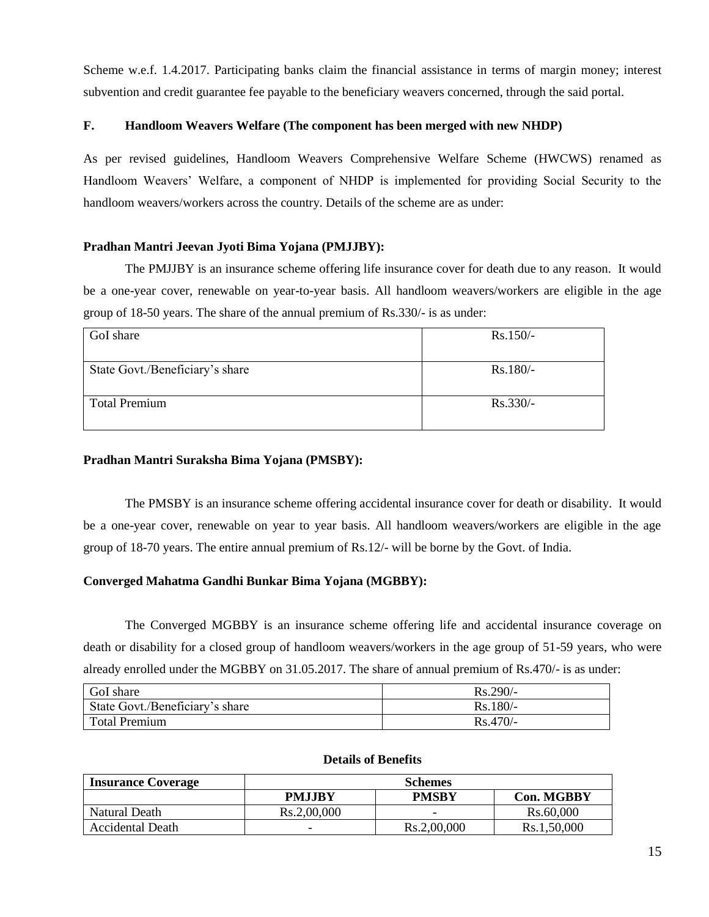Scheme w.e.f. 1.4.2017. Participating banks claim the financial assistance in terms of margin money; interest subvention and credit guarantee fee payable to the beneficiary weavers concerned, through the said portal.

## **F. Handloom Weavers Welfare (The component has been merged with new NHDP)**

As per revised guidelines, Handloom Weavers Comprehensive Welfare Scheme (HWCWS) renamed as Handloom Weavers' Welfare, a component of NHDP is implemented for providing Social Security to the handloom weavers/workers across the country. Details of the scheme are as under:

## **Pradhan Mantri Jeevan Jyoti Bima Yojana (PMJJBY):**

The PMJJBY is an insurance scheme offering life insurance cover for death due to any reason. It would be a one-year cover, renewable on year-to-year basis. All handloom weavers/workers are eligible in the age group of 18-50 years. The share of the annual premium of Rs.330/- is as under:

| GoI share                       | $Rs.150/-$ |
|---------------------------------|------------|
| State Govt./Beneficiary's share | Rs.180/-   |
| <b>Total Premium</b>            | $Rs.330/-$ |

## **Pradhan Mantri Suraksha Bima Yojana (PMSBY):**

The PMSBY is an insurance scheme offering accidental insurance cover for death or disability. It would be a one-year cover, renewable on year to year basis. All handloom weavers/workers are eligible in the age group of 18-70 years. The entire annual premium of Rs.12/- will be borne by the Govt. of India.

# **Converged Mahatma Gandhi Bunkar Bima Yojana (MGBBY):**

The Converged MGBBY is an insurance scheme offering life and accidental insurance coverage on death or disability for a closed group of handloom weavers/workers in the age group of 51-59 years, who were already enrolled under the MGBBY on 31.05.2017. The share of annual premium of Rs.470/- is as under:

| GoI share                       | $Rs.290/-$ |
|---------------------------------|------------|
| State Govt./Beneficiary's share | $Rs.180/-$ |
| Total Premium                   | $Rs.470/-$ |

## **Details of Benefits**

| <b>Insurance Coverage</b> | <b>Schemes</b>           |             |                   |  |  |  |  |
|---------------------------|--------------------------|-------------|-------------------|--|--|--|--|
|                           | <b>PMJJBY</b>            | PMSBY       | <b>Con. MGBBY</b> |  |  |  |  |
| Natural Death             | Rs.2,00,000              | -           | Rs.60,000         |  |  |  |  |
| <b>Accidental Death</b>   | $\overline{\phantom{0}}$ | Rs.2,00,000 | Rs.1,50,000       |  |  |  |  |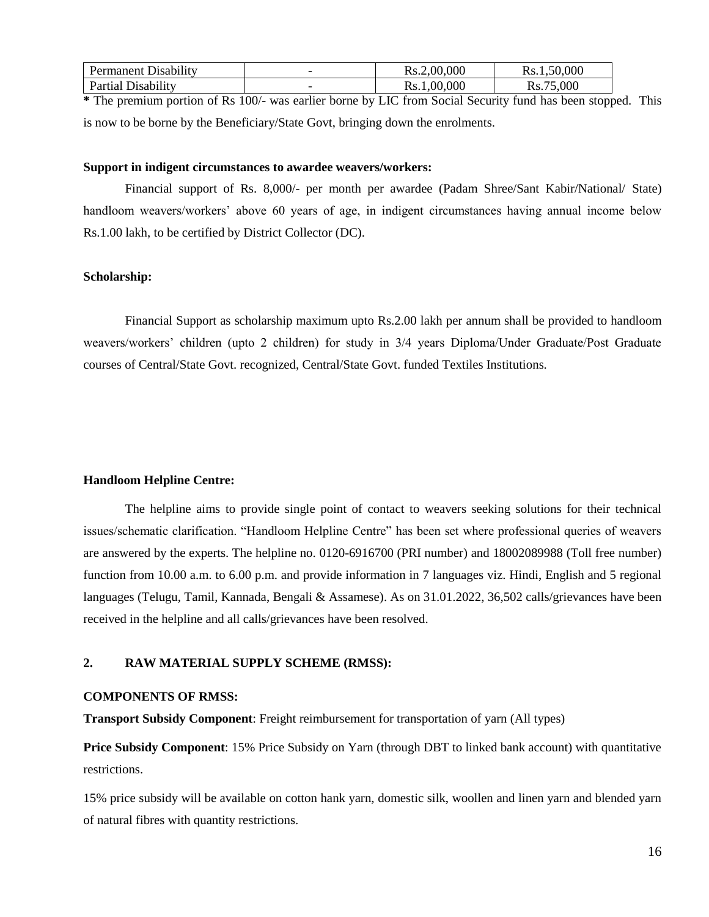| 1.11<br>. Disability<br>Permanent | -                        | ,00,000<br>Rs.2 | .50.000<br>Rs. |
|-----------------------------------|--------------------------|-----------------|----------------|
| 1.11<br>Partıal<br>Jisability     | $\overline{\phantom{0}}$ | 00,000<br>Rs.   | ,000           |

**\*** The premium portion of Rs 100/- was earlier borne by LIC from Social Security fund has been stopped. This is now to be borne by the Beneficiary/State Govt, bringing down the enrolments.

#### **Support in indigent circumstances to awardee weavers/workers:**

Financial support of Rs. 8,000/- per month per awardee (Padam Shree/Sant Kabir/National/ State) handloom weavers/workers' above 60 years of age, in indigent circumstances having annual income below Rs.1.00 lakh, to be certified by District Collector (DC).

## **Scholarship:**

Financial Support as scholarship maximum upto Rs.2.00 lakh per annum shall be provided to handloom weavers/workers' children (upto 2 children) for study in 3/4 years Diploma/Under Graduate/Post Graduate courses of Central/State Govt. recognized, Central/State Govt. funded Textiles Institutions.

#### **Handloom Helpline Centre:**

The helpline aims to provide single point of contact to weavers seeking solutions for their technical issues/schematic clarification. "Handloom Helpline Centre" has been set where professional queries of weavers are answered by the experts. The helpline no. 0120-6916700 (PRI number) and 18002089988 (Toll free number) function from 10.00 a.m. to 6.00 p.m. and provide information in 7 languages viz. Hindi, English and 5 regional languages (Telugu, Tamil, Kannada, Bengali & Assamese). As on 31.01.2022, 36,502 calls/grievances have been received in the helpline and all calls/grievances have been resolved.

#### **2. RAW MATERIAL SUPPLY SCHEME (RMSS):**

#### **COMPONENTS OF RMSS:**

**Transport Subsidy Component**: Freight reimbursement for transportation of yarn (All types)

**Price Subsidy Component**: 15% Price Subsidy on Yarn (through DBT to linked bank account) with quantitative restrictions.

15% price subsidy will be available on cotton hank yarn, domestic silk, woollen and linen yarn and blended yarn of natural fibres with quantity restrictions.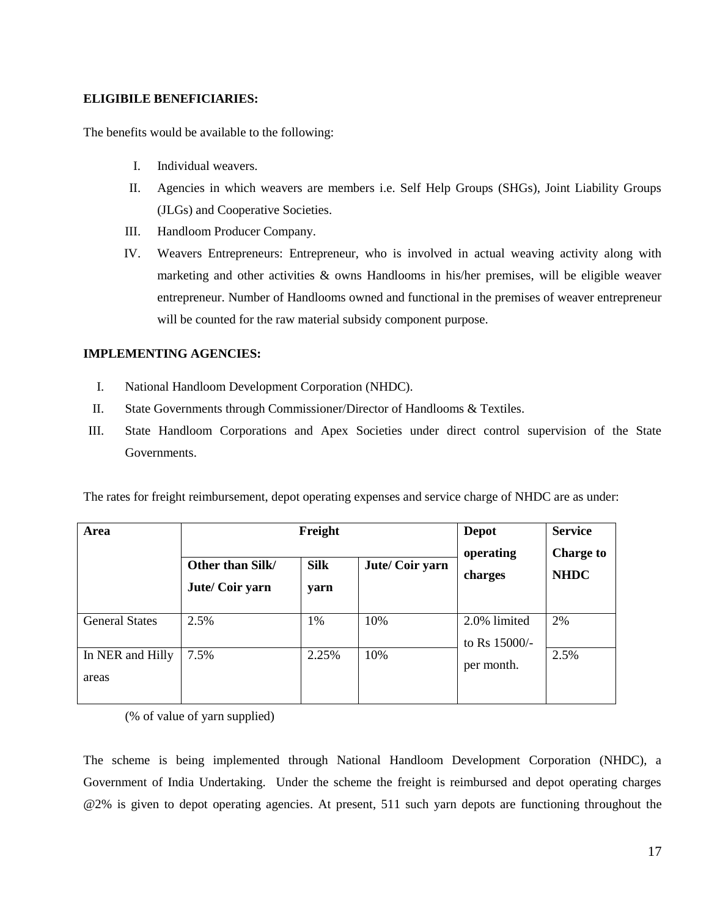## **ELIGIBILE BENEFICIARIES:**

The benefits would be available to the following:

- I. Individual weavers.
- II. Agencies in which weavers are members i.e. Self Help Groups (SHGs), Joint Liability Groups (JLGs) and Cooperative Societies.
- III. Handloom Producer Company.
- IV. Weavers Entrepreneurs: Entrepreneur, who is involved in actual weaving activity along with marketing and other activities & owns Handlooms in his/her premises, will be eligible weaver entrepreneur. Number of Handlooms owned and functional in the premises of weaver entrepreneur will be counted for the raw material subsidy component purpose.

# **IMPLEMENTING AGENCIES:**

- I. National Handloom Development Corporation (NHDC).
- II. State Governments through Commissioner/Director of Handlooms & Textiles.
- III. State Handloom Corporations and Apex Societies under direct control supervision of the State Governments.

The rates for freight reimbursement, depot operating expenses and service charge of NHDC are as under:

| Area                      | Freight                                                   | <b>Depot</b><br>operating | <b>Service</b><br><b>Charge to</b> |                               |             |
|---------------------------|-----------------------------------------------------------|---------------------------|------------------------------------|-------------------------------|-------------|
|                           | <b>Silk</b><br>Other than Silk/<br>Jute/Coir yarn<br>yarn |                           | Jute/Coir yarn                     | charges                       | <b>NHDC</b> |
| <b>General States</b>     | 2.5%                                                      | 1%                        | 10%                                | 2.0% limited<br>to Rs 15000/- | 2%          |
| In NER and Hilly<br>areas | 7.5%                                                      | 2.25%                     | 10%                                | per month.                    | 2.5%        |

(% of value of yarn supplied)

The scheme is being implemented through National Handloom Development Corporation (NHDC), a Government of India Undertaking. Under the scheme the freight is reimbursed and depot operating charges @2% is given to depot operating agencies. At present, 511 such yarn depots are functioning throughout the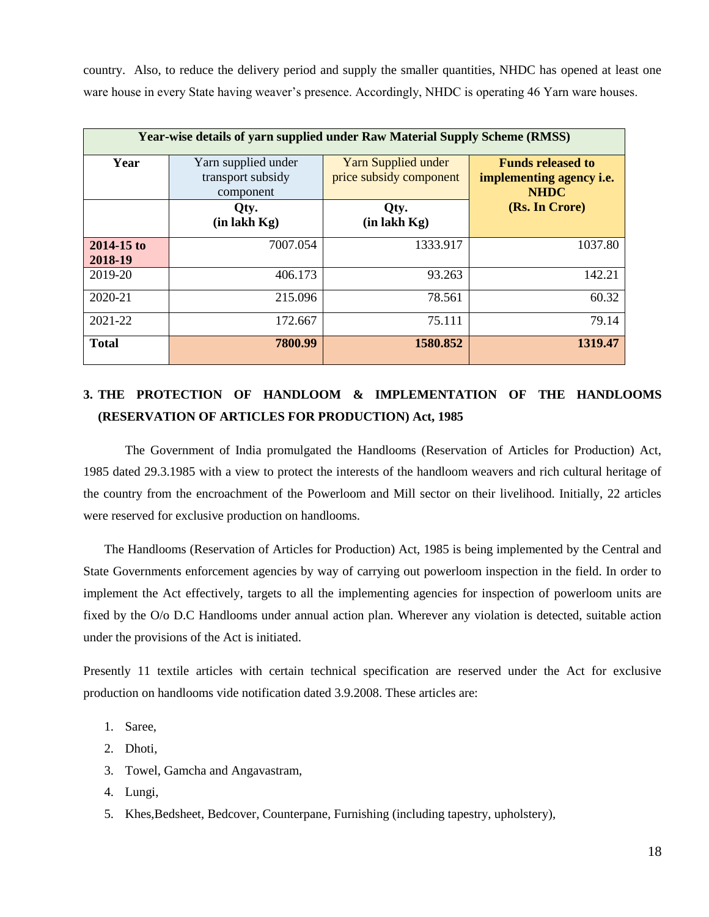country. Also, to reduce the delivery period and supply the smaller quantities, NHDC has opened at least one ware house in every State having weaver's presence. Accordingly, NHDC is operating 46 Yarn ware houses.

|                       | <b>Year-wise details of yarn supplied under Raw Material Supply Scheme (RMSS)</b> |                                                |                                                                     |  |  |  |  |  |
|-----------------------|-----------------------------------------------------------------------------------|------------------------------------------------|---------------------------------------------------------------------|--|--|--|--|--|
| Year                  | Yarn supplied under<br>transport subsidy<br>component                             | Yarn Supplied under<br>price subsidy component | <b>Funds released to</b><br>implementing agency i.e.<br><b>NHDC</b> |  |  |  |  |  |
|                       | Qty.<br>$(in$ lakh $Kg)$                                                          | Qty.<br>$(in$ lakh $Kg)$                       | (Rs. In Crore)                                                      |  |  |  |  |  |
| 2014-15 to<br>2018-19 | 7007.054                                                                          | 1333.917                                       | 1037.80                                                             |  |  |  |  |  |
| 2019-20               | 406.173                                                                           | 93.263                                         | 142.21                                                              |  |  |  |  |  |
| 2020-21               | 215.096                                                                           | 78.561                                         | 60.32                                                               |  |  |  |  |  |
| 2021-22               | 172.667                                                                           | 75.111                                         | 79.14                                                               |  |  |  |  |  |
| <b>Total</b>          | 7800.99                                                                           | 1580.852                                       | 1319.47                                                             |  |  |  |  |  |

# **3. THE PROTECTION OF HANDLOOM & IMPLEMENTATION OF THE HANDLOOMS (RESERVATION OF ARTICLES FOR PRODUCTION) Act, 1985**

The Government of India promulgated the Handlooms (Reservation of Articles for Production) Act, 1985 dated 29.3.1985 with a view to protect the interests of the handloom weavers and rich cultural heritage of the country from the encroachment of the Powerloom and Mill sector on their livelihood. Initially, 22 articles were reserved for exclusive production on handlooms.

The Handlooms (Reservation of Articles for Production) Act, 1985 is being implemented by the Central and State Governments enforcement agencies by way of carrying out powerloom inspection in the field. In order to implement the Act effectively, targets to all the implementing agencies for inspection of powerloom units are fixed by the O/o D.C Handlooms under annual action plan. Wherever any violation is detected, suitable action under the provisions of the Act is initiated.

Presently 11 textile articles with certain technical specification are reserved under the Act for exclusive production on handlooms vide notification dated 3.9.2008. These articles are:

- 1. Saree,
- 2. Dhoti,
- 3. Towel, Gamcha and Angavastram,
- 4. Lungi,
- 5. Khes,Bedsheet, Bedcover, Counterpane, Furnishing (including tapestry, upholstery),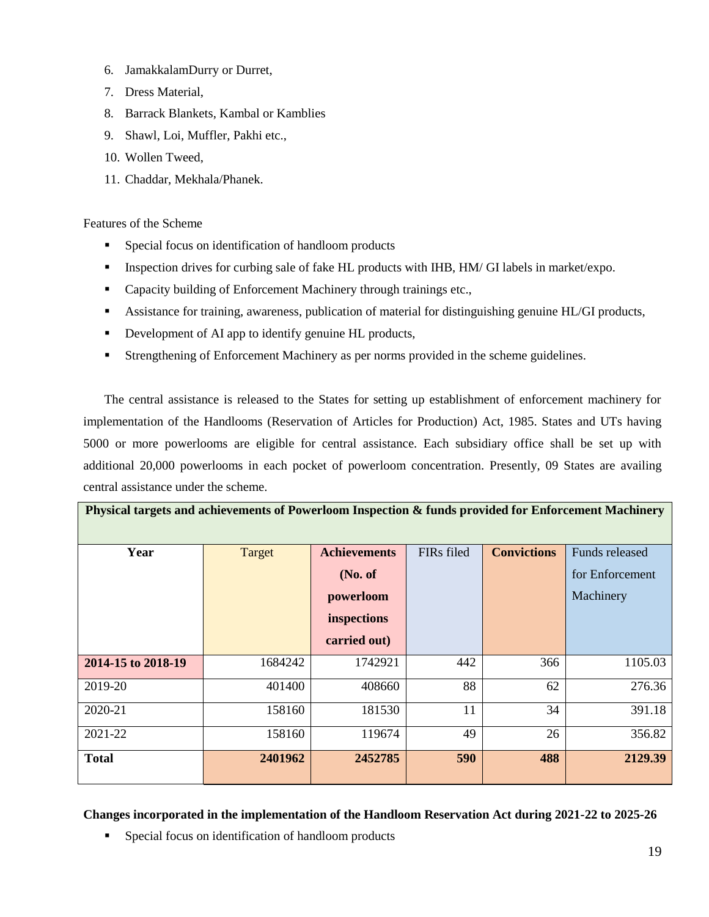- 6. JamakkalamDurry or Durret,
- 7. Dress Material,
- 8. Barrack Blankets, Kambal or Kamblies
- 9. Shawl, Loi, Muffler, Pakhi etc.,
- 10. Wollen Tweed,
- 11. Chaddar, Mekhala/Phanek.

Features of the Scheme

- Special focus on identification of handloom products
- **Inspection drives for curbing sale of fake HL products with IHB, HM/ GI labels in market/expo.**
- Capacity building of Enforcement Machinery through trainings etc.,
- Assistance for training, awareness, publication of material for distinguishing genuine HL/GI products,
- Development of AI app to identify genuine HL products,
- Strengthening of Enforcement Machinery as per norms provided in the scheme guidelines.

The central assistance is released to the States for setting up establishment of enforcement machinery for implementation of the Handlooms (Reservation of Articles for Production) Act, 1985. States and UTs having 5000 or more powerlooms are eligible for central assistance. Each subsidiary office shall be set up with additional 20,000 powerlooms in each pocket of powerloom concentration. Presently, 09 States are availing central assistance under the scheme.

**Physical targets and achievements of Powerloom Inspection & funds provided for Enforcement Machinery**

| Year               | <b>Target</b> | <b>Achievements</b> | FIRs filed | <b>Convictions</b> | Funds released  |
|--------------------|---------------|---------------------|------------|--------------------|-----------------|
|                    |               | No. of              |            |                    | for Enforcement |
|                    |               | powerloom           |            |                    | Machinery       |
|                    |               | inspections         |            |                    |                 |
|                    |               | carried out)        |            |                    |                 |
| 2014-15 to 2018-19 | 1684242       | 1742921             | 442        | 366                | 1105.03         |
| 2019-20            | 401400        | 408660              | 88         | 62                 | 276.36          |
| 2020-21            | 158160        | 181530              | 11         | 34                 | 391.18          |
| 2021-22            | 158160        | 119674              | 49         | 26                 | 356.82          |
| <b>Total</b>       | 2401962       | 2452785             | 590        | 488                | 2129.39         |

**Changes incorporated in the implementation of the Handloom Reservation Act during 2021-22 to 2025-26**

Special focus on identification of handloom products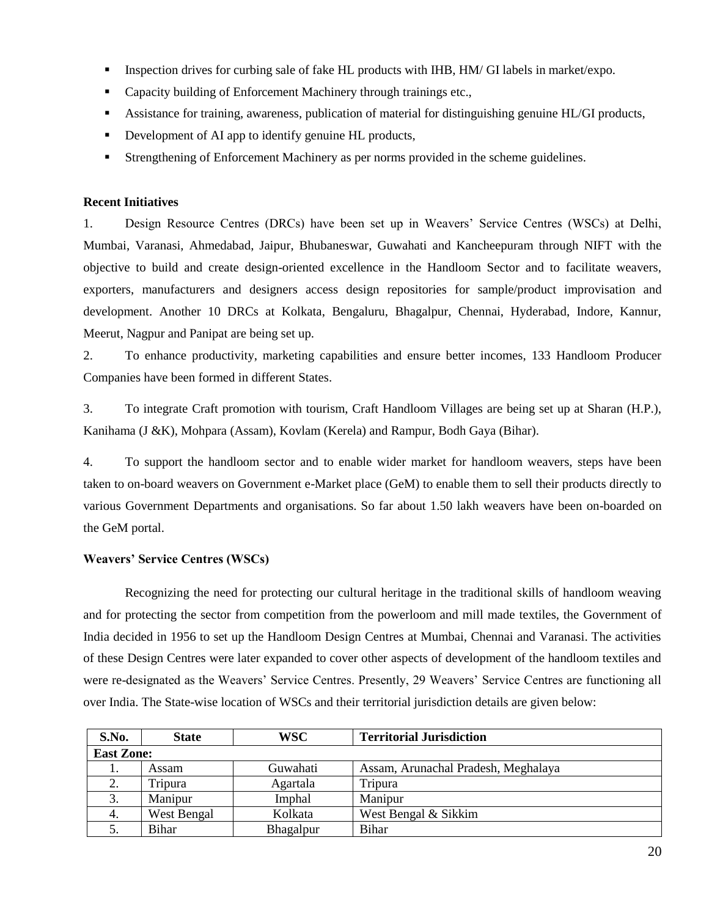- **Inspection drives for curbing sale of fake HL products with IHB, HM/ GI labels in market/expo.**
- Capacity building of Enforcement Machinery through trainings etc.,
- Assistance for training, awareness, publication of material for distinguishing genuine HL/GI products,
- Development of AI app to identify genuine HL products,
- Strengthening of Enforcement Machinery as per norms provided in the scheme guidelines.

## **Recent Initiatives**

1. Design Resource Centres (DRCs) have been set up in Weavers' Service Centres (WSCs) at Delhi, Mumbai, Varanasi, Ahmedabad, Jaipur, Bhubaneswar, Guwahati and Kancheepuram through NIFT with the objective to build and create design-oriented excellence in the Handloom Sector and to facilitate weavers, exporters, manufacturers and designers access design repositories for sample/product improvisation and development. Another 10 DRCs at Kolkata, Bengaluru, Bhagalpur, Chennai, Hyderabad, Indore, Kannur, Meerut, Nagpur and Panipat are being set up.

2. To enhance productivity, marketing capabilities and ensure better incomes, 133 Handloom Producer Companies have been formed in different States.

3. To integrate Craft promotion with tourism, Craft Handloom Villages are being set up at Sharan (H.P.), Kanihama (J &K), Mohpara (Assam), Kovlam (Kerela) and Rampur, Bodh Gaya (Bihar).

4. To support the handloom sector and to enable wider market for handloom weavers, steps have been taken to on-board weavers on Government e-Market place (GeM) to enable them to sell their products directly to various Government Departments and organisations. So far about 1.50 lakh weavers have been on-boarded on the GeM portal.

# **Weavers' Service Centres (WSCs)**

Recognizing the need for protecting our cultural heritage in the traditional skills of handloom weaving and for protecting the sector from competition from the powerloom and mill made textiles, the Government of India decided in 1956 to set up the Handloom Design Centres at Mumbai, Chennai and Varanasi. The activities of these Design Centres were later expanded to cover other aspects of development of the handloom textiles and were re-designated as the Weavers' Service Centres. Presently, 29 Weavers' Service Centres are functioning all over India. The State-wise location of WSCs and their territorial jurisdiction details are given below:

| S.No.             | <b>State</b> | WSC       | <b>Territorial Jurisdiction</b>     |
|-------------------|--------------|-----------|-------------------------------------|
| <b>East Zone:</b> |              |           |                                     |
|                   | Assam        | Guwahati  | Assam, Arunachal Pradesh, Meghalaya |
|                   | Tripura      | Agartala  | Tripura                             |
| 3.                | Manipur      | Imphal    | Manipur                             |
| 4.                | West Bengal  | Kolkata   | West Bengal & Sikkim                |
|                   | Bihar        | Bhagalpur | Bihar                               |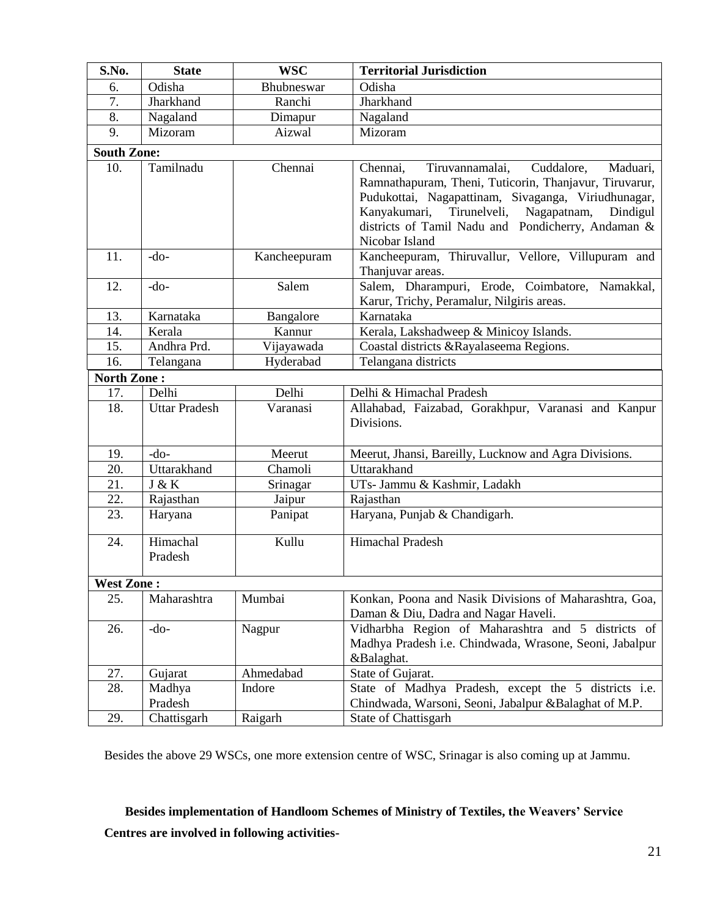| S.No.              | <b>State</b>         | <b>WSC</b>   | <b>Territorial Jurisdiction</b>                                                                                                                                                                                                                                                                           |
|--------------------|----------------------|--------------|-----------------------------------------------------------------------------------------------------------------------------------------------------------------------------------------------------------------------------------------------------------------------------------------------------------|
| 6.                 | Odisha               | Bhubneswar   | Odisha                                                                                                                                                                                                                                                                                                    |
| 7.                 | Jharkhand            | Ranchi       | Jharkhand                                                                                                                                                                                                                                                                                                 |
| 8.                 | Nagaland             | Dimapur      | Nagaland                                                                                                                                                                                                                                                                                                  |
| 9.                 | Mizoram              | Aizwal       | Mizoram                                                                                                                                                                                                                                                                                                   |
| <b>South Zone:</b> |                      |              |                                                                                                                                                                                                                                                                                                           |
| 10.                | Tamilnadu            | Chennai      | Tiruvannamalai,<br>Cuddalore,<br>Maduari,<br>Chennai,<br>Ramnathapuram, Theni, Tuticorin, Thanjavur, Tiruvarur,<br>Pudukottai, Nagapattinam, Sivaganga, Viriudhunagar,<br>Kanyakumari,<br>Tirunelveli,<br>Nagapatnam,<br>Dindigul<br>districts of Tamil Nadu and Pondicherry, Andaman &<br>Nicobar Island |
| 11.                | $-do-$               | Kancheepuram | Kancheepuram, Thiruvallur, Vellore, Villupuram and<br>Thanjuvar areas.                                                                                                                                                                                                                                    |
| 12.                | $-do-$               | Salem        | Salem, Dharampuri, Erode, Coimbatore, Namakkal,<br>Karur, Trichy, Peramalur, Nilgiris areas.                                                                                                                                                                                                              |
| 13.                | Karnataka            | Bangalore    | Karnataka                                                                                                                                                                                                                                                                                                 |
| 14.                | Kerala               | Kannur       | Kerala, Lakshadweep & Minicoy Islands.                                                                                                                                                                                                                                                                    |
| 15.                | Andhra Prd.          | Vijayawada   | Coastal districts & Rayalaseema Regions.                                                                                                                                                                                                                                                                  |
| 16.                | Telangana            | Hyderabad    | Telangana districts                                                                                                                                                                                                                                                                                       |
| <b>North Zone:</b> |                      |              |                                                                                                                                                                                                                                                                                                           |
| 17.                | Delhi                | Delhi        | Delhi & Himachal Pradesh                                                                                                                                                                                                                                                                                  |
| 18.                | <b>Uttar Pradesh</b> | Varanasi     | Allahabad, Faizabad, Gorakhpur, Varanasi and Kanpur<br>Divisions.                                                                                                                                                                                                                                         |
| 19.                | $-do-$               | Meerut       | Meerut, Jhansi, Bareilly, Lucknow and Agra Divisions.                                                                                                                                                                                                                                                     |
| 20.                | Uttarakhand          | Chamoli      | Uttarakhand                                                                                                                                                                                                                                                                                               |
| 21.                | J & K                | Srinagar     | UTs- Jammu & Kashmir, Ladakh                                                                                                                                                                                                                                                                              |
| 22.                | Rajasthan            | Jaipur       | Rajasthan                                                                                                                                                                                                                                                                                                 |
| 23.                | Haryana              | Panipat      | Haryana, Punjab & Chandigarh.                                                                                                                                                                                                                                                                             |
| 24.                | Himachal<br>Pradesh  | Kullu        | Himachal Pradesh                                                                                                                                                                                                                                                                                          |
| <b>West Zone:</b>  |                      |              |                                                                                                                                                                                                                                                                                                           |
| 25.                | Maharashtra          | Mumbai       | Konkan, Poona and Nasik Divisions of Maharashtra, Goa,<br>Daman & Diu, Dadra and Nagar Haveli.                                                                                                                                                                                                            |
| 26.                | $-do-$               | Nagpur       | Vidharbha Region of Maharashtra and 5 districts of<br>Madhya Pradesh i.e. Chindwada, Wrasone, Seoni, Jabalpur<br>&Balaghat.                                                                                                                                                                               |
| 27.                | Gujarat              | Ahmedabad    | State of Gujarat.                                                                                                                                                                                                                                                                                         |
| 28.                | Madhya<br>Pradesh    | Indore       | State of Madhya Pradesh, except the 5 districts i.e.<br>Chindwada, Warsoni, Seoni, Jabalpur &Balaghat of M.P.                                                                                                                                                                                             |
| 29.                | Chattisgarh          | Raigarh      | State of Chattisgarh                                                                                                                                                                                                                                                                                      |

Besides the above 29 WSCs, one more extension centre of WSC, Srinagar is also coming up at Jammu.

**Besides implementation of Handloom Schemes of Ministry of Textiles, the Weavers' Service Centres are involved in following activities-**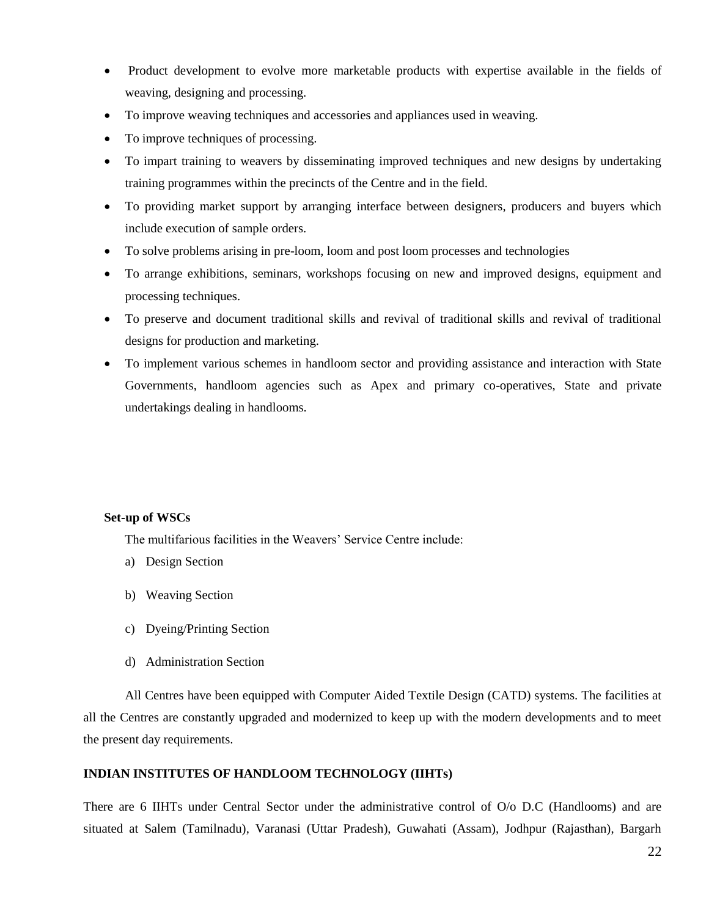- Product development to evolve more marketable products with expertise available in the fields of weaving, designing and processing.
- To improve weaving techniques and accessories and appliances used in weaving.
- To improve techniques of processing.
- To impart training to weavers by disseminating improved techniques and new designs by undertaking training programmes within the precincts of the Centre and in the field.
- To providing market support by arranging interface between designers, producers and buyers which include execution of sample orders.
- To solve problems arising in pre-loom, loom and post loom processes and technologies
- To arrange exhibitions, seminars, workshops focusing on new and improved designs, equipment and processing techniques.
- To preserve and document traditional skills and revival of traditional skills and revival of traditional designs for production and marketing.
- To implement various schemes in handloom sector and providing assistance and interaction with State Governments, handloom agencies such as Apex and primary co-operatives, State and private undertakings dealing in handlooms.

## **Set-up of WSCs**

The multifarious facilities in the Weavers' Service Centre include:

- a) Design Section
- b) Weaving Section
- c) Dyeing/Printing Section
- d) Administration Section

All Centres have been equipped with Computer Aided Textile Design (CATD) systems. The facilities at all the Centres are constantly upgraded and modernized to keep up with the modern developments and to meet the present day requirements.

#### **INDIAN INSTITUTES OF HANDLOOM TECHNOLOGY (IIHTs)**

There are 6 IIHTs under Central Sector under the administrative control of O/o D.C (Handlooms) and are situated at Salem (Tamilnadu), Varanasi (Uttar Pradesh), Guwahati (Assam), Jodhpur (Rajasthan), Bargarh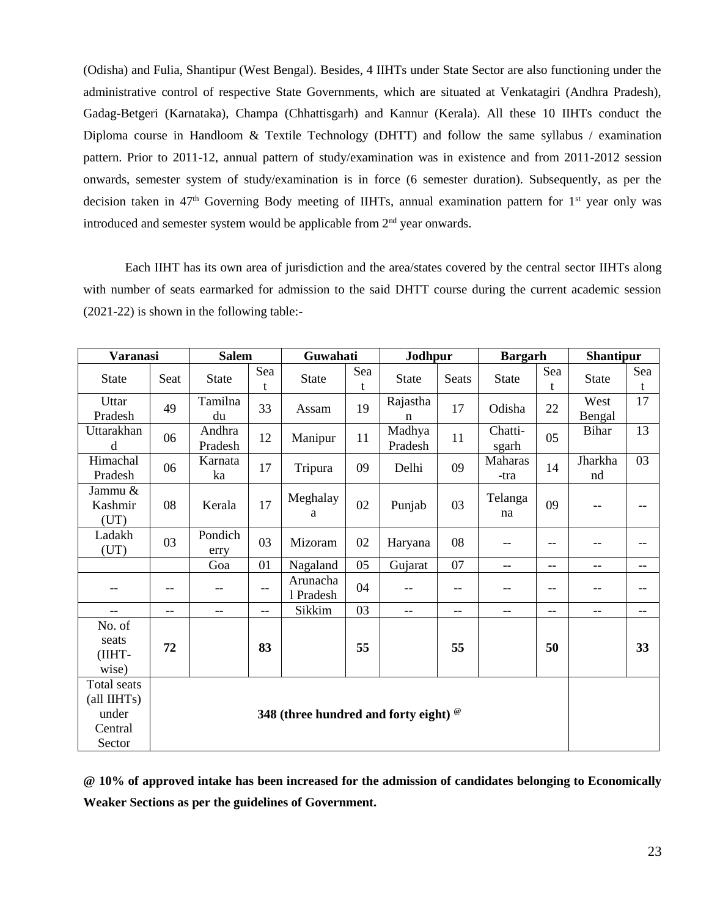(Odisha) and Fulia, Shantipur (West Bengal). Besides, 4 IIHTs under State Sector are also functioning under the administrative control of respective State Governments, which are situated at Venkatagiri (Andhra Pradesh), Gadag-Betgeri (Karnataka), Champa (Chhattisgarh) and Kannur (Kerala). All these 10 IIHTs conduct the Diploma course in Handloom & Textile Technology (DHTT) and follow the same syllabus / examination pattern. Prior to 2011-12, annual pattern of study/examination was in existence and from 2011-2012 session onwards, semester system of study/examination is in force (6 semester duration). Subsequently, as per the decision taken in  $47<sup>th</sup>$  Governing Body meeting of IIHTs, annual examination pattern for  $1<sup>st</sup>$  year only was introduced and semester system would be applicable from  $2<sup>nd</sup>$  year onwards.

Each IIHT has its own area of jurisdiction and the area/states covered by the central sector IIHTs along with number of seats earmarked for admission to the said DHTT course during the current academic session (2021-22) is shown in the following table:-

| Varanasi                                                 |                                                | <b>Salem</b>      |                   | Guwahati              |          | Jodhpur           |       | <b>Bargarh</b>   |          | <b>Shantipur</b> |                   |
|----------------------------------------------------------|------------------------------------------------|-------------------|-------------------|-----------------------|----------|-------------------|-------|------------------|----------|------------------|-------------------|
| <b>State</b>                                             | Seat                                           | <b>State</b>      | Sea<br>t          | <b>State</b>          | Sea<br>t | <b>State</b>      | Seats | <b>State</b>     | Sea<br>t | State            | Sea<br>t          |
| Uttar<br>Pradesh                                         | 49                                             | Tamilna<br>du     | 33                | Assam                 | 19       | Rajastha<br>n     | 17    | Odisha           | 22       | West<br>Bengal   | 17                |
| Uttarakhan<br>d                                          | 06                                             | Andhra<br>Pradesh | 12                | Manipur               | 11       | Madhya<br>Pradesh | 11    | Chatti-<br>sgarh | 05       | <b>Bihar</b>     | 13                |
| Himachal<br>Pradesh                                      | 06                                             | Karnata<br>ka     | 17                | Tripura               | 09       | Delhi             | 09    | Maharas<br>-tra  | 14       | Jharkha<br>nd    | 03                |
| Jammu &<br>Kashmir<br>(UT)                               | 08                                             | Kerala            | 17                | Meghalay<br>a         | 02       | Punjab            | 03    | Telanga<br>na    | 09       | --               | $-$               |
| Ladakh<br>(UT)                                           | 03                                             | Pondich<br>erry   | 03                | Mizoram               | 02       | Haryana           | 08    | --               | $-$      | --               | $\qquad \qquad -$ |
|                                                          |                                                | Goa               | 01                | Nagaland              | 05       | Gujarat           | 07    | $-$              | $-$      | $-$              | $\qquad \qquad -$ |
|                                                          | --                                             | --                | $\qquad \qquad -$ | Arunacha<br>1 Pradesh | 04       | --                | --    | --               | --       |                  | --                |
| $-$                                                      | $-$                                            | --                | $\qquad \qquad -$ | Sikkim                | 03       | $-$               | $-$   | --               | $-$      | $-$              | $\qquad \qquad -$ |
| No. of                                                   |                                                |                   |                   |                       |          |                   |       |                  |          |                  |                   |
| seats<br>(IIHT-<br>wise)                                 | 72                                             |                   | 83                |                       | 55       |                   | 55    |                  | 50       |                  | 33                |
| Total seats<br>(all IIHTs)<br>under<br>Central<br>Sector | 348 (three hundred and forty eight) $^{\circ}$ |                   |                   |                       |          |                   |       |                  |          |                  |                   |

**@ 10% of approved intake has been increased for the admission of candidates belonging to Economically Weaker Sections as per the guidelines of Government.**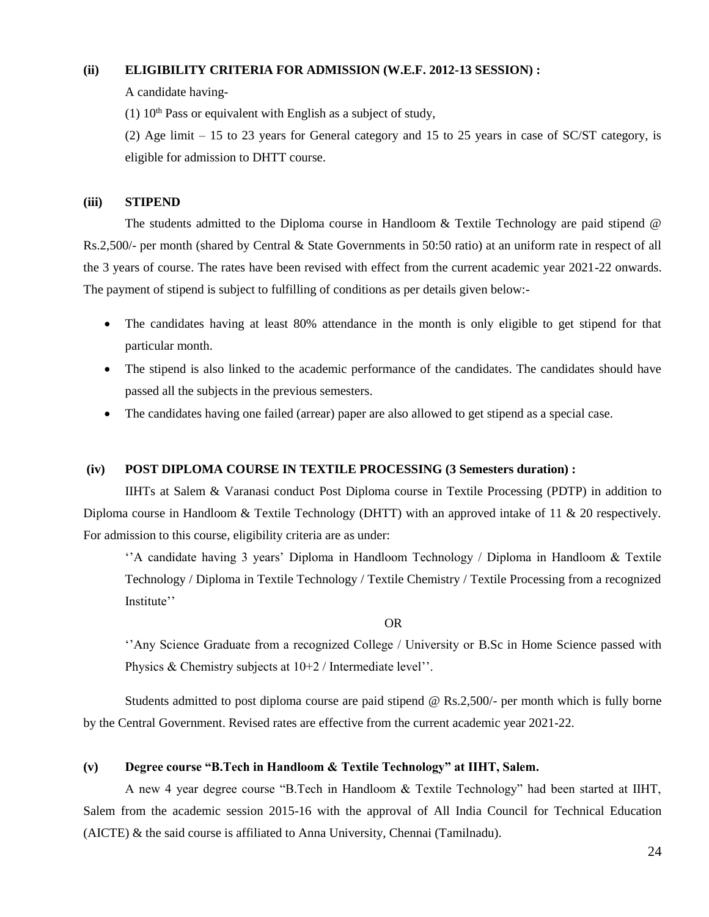## **(ii) ELIGIBILITY CRITERIA FOR ADMISSION (W.E.F. 2012-13 SESSION) :**

A candidate having-

(1)  $10<sup>th</sup>$  Pass or equivalent with English as a subject of study,

(2) Age limit – 15 to 23 years for General category and 15 to 25 years in case of SC/ST category, is eligible for admission to DHTT course.

#### **(iii) STIPEND**

The students admitted to the Diploma course in Handloom & Textile Technology are paid stipend @ Rs.2,500/- per month (shared by Central & State Governments in 50:50 ratio) at an uniform rate in respect of all the 3 years of course. The rates have been revised with effect from the current academic year 2021-22 onwards. The payment of stipend is subject to fulfilling of conditions as per details given below:-

- The candidates having at least 80% attendance in the month is only eligible to get stipend for that particular month.
- The stipend is also linked to the academic performance of the candidates. The candidates should have passed all the subjects in the previous semesters.
- The candidates having one failed (arrear) paper are also allowed to get stipend as a special case.

#### **(iv) POST DIPLOMA COURSE IN TEXTILE PROCESSING (3 Semesters duration) :**

IIHTs at Salem & Varanasi conduct Post Diploma course in Textile Processing (PDTP) in addition to Diploma course in Handloom & Textile Technology (DHTT) with an approved intake of 11 & 20 respectively. For admission to this course, eligibility criteria are as under:

''A candidate having 3 years' Diploma in Handloom Technology / Diploma in Handloom & Textile Technology / Diploma in Textile Technology / Textile Chemistry / Textile Processing from a recognized Institute''

OR

''Any Science Graduate from a recognized College / University or B.Sc in Home Science passed with Physics & Chemistry subjects at 10+2 / Intermediate level''.

Students admitted to post diploma course are paid stipend @ Rs.2,500/- per month which is fully borne by the Central Government. Revised rates are effective from the current academic year 2021-22.

#### **(v) Degree course "B.Tech in Handloom & Textile Technology" at IIHT, Salem.**

A new 4 year degree course "B.Tech in Handloom & Textile Technology" had been started at IIHT, Salem from the academic session 2015-16 with the approval of All India Council for Technical Education (AICTE) & the said course is affiliated to Anna University, Chennai (Tamilnadu).